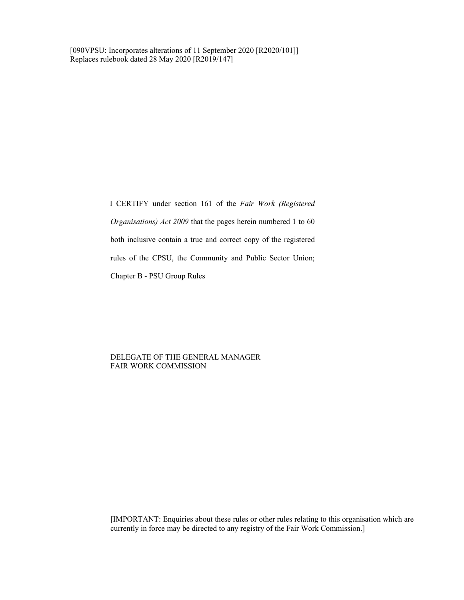[090VPSU: Incorporates alterations of 11 September 2020 [R2020/101]] Replaces rulebook dated 28 May 2020 [R2019/147]

> I CERTIFY under section 161 of the Fair Work (Registered Organisations) Act 2009 that the pages herein numbered 1 to 60 both inclusive contain a true and correct copy of the registered rules of the CPSU, the Community and Public Sector Union; Chapter B - PSU Group Rules

### DELEGATE OF THE GENERAL MANAGER FAIR WORK COMMISSION

 [IMPORTANT: Enquiries about these rules or other rules relating to this organisation which are currently in force may be directed to any registry of the Fair Work Commission.]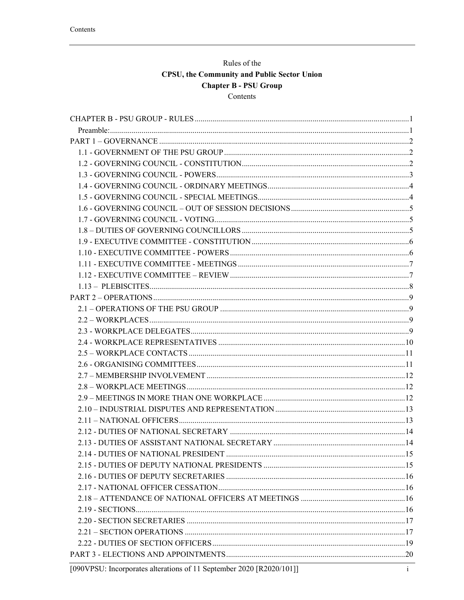# Rules of the CPSU, the Community and Public Sector Union **Chapter B - PSU Group** Contents

| [090VPSU: Incorporates alterations of 11 September 2020 [R2020/101]] | $\mathbf{i}$ |
|----------------------------------------------------------------------|--------------|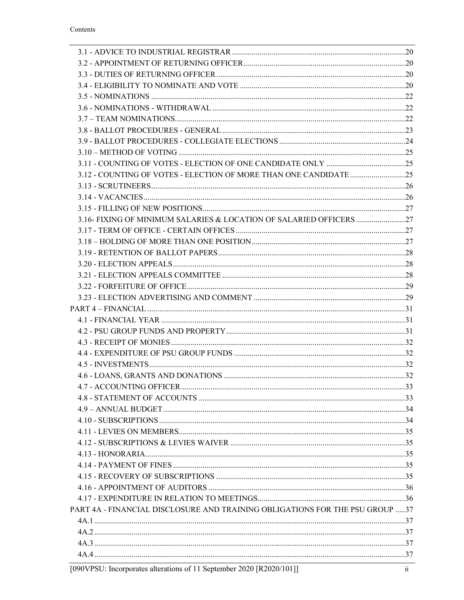| 3.16- FIXING OF MINIMUM SALARIES & LOCATION OF SALARIED OFFICERS             |  |
|------------------------------------------------------------------------------|--|
|                                                                              |  |
|                                                                              |  |
|                                                                              |  |
|                                                                              |  |
|                                                                              |  |
|                                                                              |  |
|                                                                              |  |
|                                                                              |  |
|                                                                              |  |
|                                                                              |  |
|                                                                              |  |
|                                                                              |  |
|                                                                              |  |
|                                                                              |  |
|                                                                              |  |
|                                                                              |  |
|                                                                              |  |
|                                                                              |  |
|                                                                              |  |
|                                                                              |  |
|                                                                              |  |
|                                                                              |  |
|                                                                              |  |
|                                                                              |  |
|                                                                              |  |
| PART 4A - FINANCIAL DISCLOSURE AND TRAINING OBLIGATIONS FOR THE PSU GROUP 37 |  |
|                                                                              |  |
|                                                                              |  |
|                                                                              |  |
|                                                                              |  |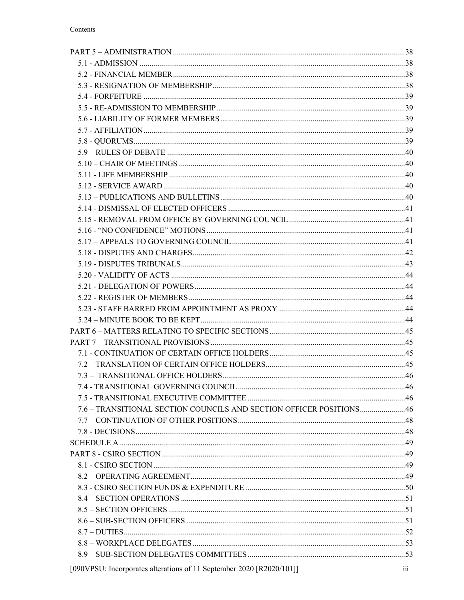| 7.6 – TRANSITIONAL SECTION COUNCILS AND SECTION OFFICER POSITIONS46 |  |
|---------------------------------------------------------------------|--|
|                                                                     |  |
|                                                                     |  |
|                                                                     |  |
|                                                                     |  |
|                                                                     |  |
|                                                                     |  |
|                                                                     |  |
|                                                                     |  |
|                                                                     |  |
|                                                                     |  |
|                                                                     |  |
|                                                                     |  |
|                                                                     |  |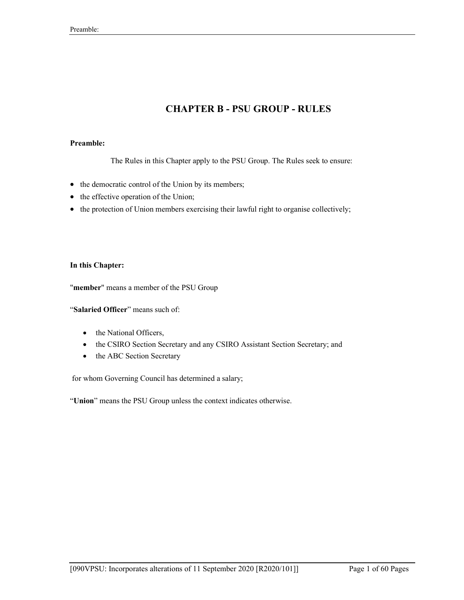# CHAPTER B - PSU GROUP - RULES

# Preamble:

The Rules in this Chapter apply to the PSU Group. The Rules seek to ensure:

- the democratic control of the Union by its members;
- the effective operation of the Union;
- the protection of Union members exercising their lawful right to organise collectively;

### In this Chapter:

"member" means a member of the PSU Group

"Salaried Officer" means such of:

- the National Officers,
- the CSIRO Section Secretary and any CSIRO Assistant Section Secretary; and
- the ABC Section Secretary

for whom Governing Council has determined a salary;

"Union" means the PSU Group unless the context indicates otherwise.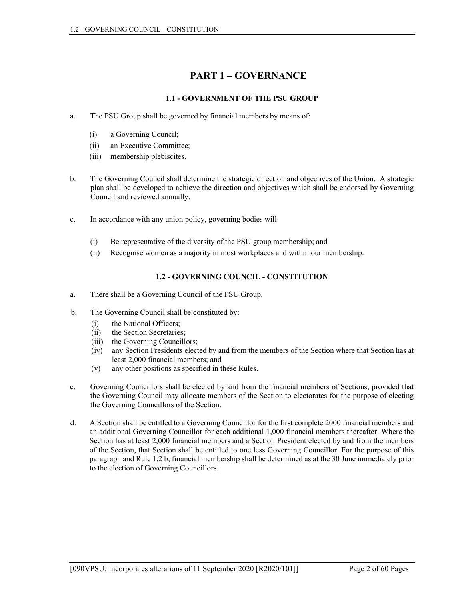# PART 1 – GOVERNANCE

# 1.1 - GOVERNMENT OF THE PSU GROUP

- a. The PSU Group shall be governed by financial members by means of:
	- (i) a Governing Council;
	- (ii) an Executive Committee;
	- (iii) membership plebiscites.
- b. The Governing Council shall determine the strategic direction and objectives of the Union. A strategic plan shall be developed to achieve the direction and objectives which shall be endorsed by Governing Council and reviewed annually.
- c. In accordance with any union policy, governing bodies will:
	- (i) Be representative of the diversity of the PSU group membership; and
	- (ii) Recognise women as a majority in most workplaces and within our membership.

# 1.2 - GOVERNING COUNCIL - CONSTITUTION

- a. There shall be a Governing Council of the PSU Group.
- b. The Governing Council shall be constituted by:
	- (i) the National Officers;
	- (ii) the Section Secretaries;
	- (iii) the Governing Councillors;
	- (iv) any Section Presidents elected by and from the members of the Section where that Section has at least 2,000 financial members; and
	- (v) any other positions as specified in these Rules.
- c. Governing Councillors shall be elected by and from the financial members of Sections, provided that the Governing Council may allocate members of the Section to electorates for the purpose of electing the Governing Councillors of the Section.
- d. A Section shall be entitled to a Governing Councillor for the first complete 2000 financial members and an additional Governing Councillor for each additional 1,000 financial members thereafter. Where the Section has at least 2,000 financial members and a Section President elected by and from the members of the Section, that Section shall be entitled to one less Governing Councillor. For the purpose of this paragraph and Rule 1.2 b, financial membership shall be determined as at the 30 June immediately prior to the election of Governing Councillors.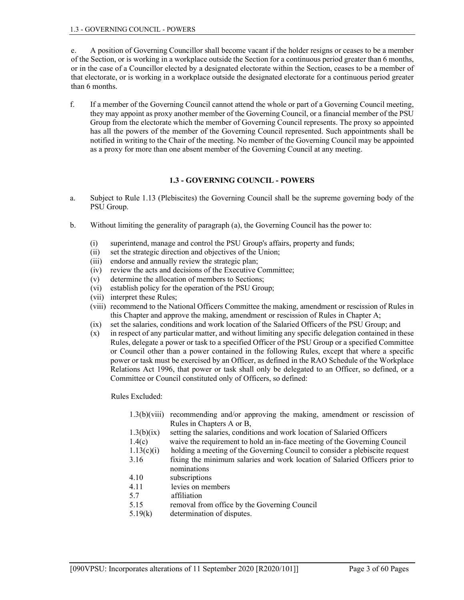e. A position of Governing Councillor shall become vacant if the holder resigns or ceases to be a member of the Section, or is working in a workplace outside the Section for a continuous period greater than 6 months, or in the case of a Councillor elected by a designated electorate within the Section, ceases to be a member of that electorate, or is working in a workplace outside the designated electorate for a continuous period greater than 6 months.

f. If a member of the Governing Council cannot attend the whole or part of a Governing Council meeting, they may appoint as proxy another member of the Governing Council, or a financial member of the PSU Group from the electorate which the member of Governing Council represents. The proxy so appointed has all the powers of the member of the Governing Council represented. Such appointments shall be notified in writing to the Chair of the meeting. No member of the Governing Council may be appointed as a proxy for more than one absent member of the Governing Council at any meeting.

### 1.3 - GOVERNING COUNCIL - POWERS

- a. Subject to Rule 1.13 (Plebiscites) the Governing Council shall be the supreme governing body of the PSU Group.
- b. Without limiting the generality of paragraph (a), the Governing Council has the power to:
	- (i) superintend, manage and control the PSU Group's affairs, property and funds;
	- (ii) set the strategic direction and objectives of the Union;
	- (iii) endorse and annually review the strategic plan;
	- (iv) review the acts and decisions of the Executive Committee;
	- (v) determine the allocation of members to Sections;
	- (vi) establish policy for the operation of the PSU Group;
	- (vii) interpret these Rules;
	- (viii) recommend to the National Officers Committee the making, amendment or rescission of Rules in this Chapter and approve the making, amendment or rescission of Rules in Chapter A;
	- (ix) set the salaries, conditions and work location of the Salaried Officers of the PSU Group; and
	- (x) in respect of any particular matter, and without limiting any specific delegation contained in these Rules, delegate a power or task to a specified Officer of the PSU Group or a specified Committee or Council other than a power contained in the following Rules, except that where a specific power or task must be exercised by an Officer, as defined in the RAO Schedule of the Workplace Relations Act 1996, that power or task shall only be delegated to an Officer, so defined, or a Committee or Council constituted only of Officers, so defined:

Rules Excluded:

| 1.3(b)(viii) | recommending and/or approving the making, amendment or rescission of        |
|--------------|-----------------------------------------------------------------------------|
|              | Rules in Chapters A or B,                                                   |
| 1.3(b)(ix)   | setting the salaries, conditions and work location of Salaried Officers     |
| 1.4(c)       | waive the requirement to hold an in-face meeting of the Governing Council   |
| 1.13(c)(i)   | holding a meeting of the Governing Council to consider a plebiscite request |
| 3.16         | fixing the minimum salaries and work location of Salaried Officers prior to |
|              | nominations                                                                 |
| 4.10         | subscriptions                                                               |
| 4.11         | levies on members                                                           |
| 5.7          | affiliation                                                                 |
| 5.15         | removal from office by the Governing Council                                |
| 5.19(k)      | determination of disputes.                                                  |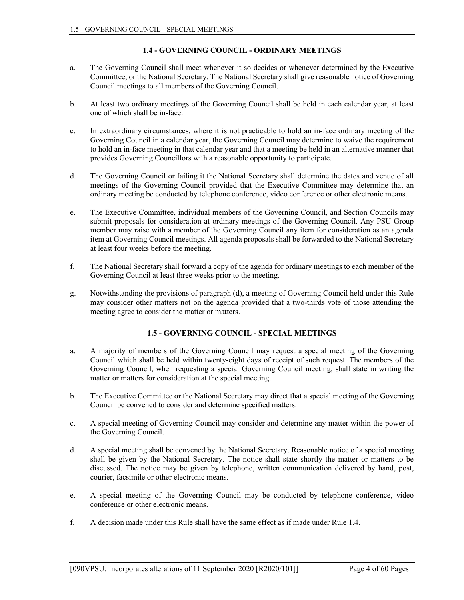# 1.4 - GOVERNING COUNCIL - ORDINARY MEETINGS

- a. The Governing Council shall meet whenever it so decides or whenever determined by the Executive Committee, or the National Secretary. The National Secretary shall give reasonable notice of Governing Council meetings to all members of the Governing Council.
- b. At least two ordinary meetings of the Governing Council shall be held in each calendar year, at least one of which shall be in-face.
- c. In extraordinary circumstances, where it is not practicable to hold an in-face ordinary meeting of the Governing Council in a calendar year, the Governing Council may determine to waive the requirement to hold an in-face meeting in that calendar year and that a meeting be held in an alternative manner that provides Governing Councillors with a reasonable opportunity to participate.
- d. The Governing Council or failing it the National Secretary shall determine the dates and venue of all meetings of the Governing Council provided that the Executive Committee may determine that an ordinary meeting be conducted by telephone conference, video conference or other electronic means.
- e. The Executive Committee, individual members of the Governing Council, and Section Councils may submit proposals for consideration at ordinary meetings of the Governing Council. Any PSU Group member may raise with a member of the Governing Council any item for consideration as an agenda item at Governing Council meetings. All agenda proposals shall be forwarded to the National Secretary at least four weeks before the meeting.
- f. The National Secretary shall forward a copy of the agenda for ordinary meetings to each member of the Governing Council at least three weeks prior to the meeting.
- g. Notwithstanding the provisions of paragraph (d), a meeting of Governing Council held under this Rule may consider other matters not on the agenda provided that a two-thirds vote of those attending the meeting agree to consider the matter or matters.

# 1.5 - GOVERNING COUNCIL - SPECIAL MEETINGS

- a. A majority of members of the Governing Council may request a special meeting of the Governing Council which shall be held within twenty-eight days of receipt of such request. The members of the Governing Council, when requesting a special Governing Council meeting, shall state in writing the matter or matters for consideration at the special meeting.
- b. The Executive Committee or the National Secretary may direct that a special meeting of the Governing Council be convened to consider and determine specified matters.
- c. A special meeting of Governing Council may consider and determine any matter within the power of the Governing Council.
- d. A special meeting shall be convened by the National Secretary. Reasonable notice of a special meeting shall be given by the National Secretary. The notice shall state shortly the matter or matters to be discussed. The notice may be given by telephone, written communication delivered by hand, post, courier, facsimile or other electronic means.
- e. A special meeting of the Governing Council may be conducted by telephone conference, video conference or other electronic means.
- f. A decision made under this Rule shall have the same effect as if made under Rule 1.4.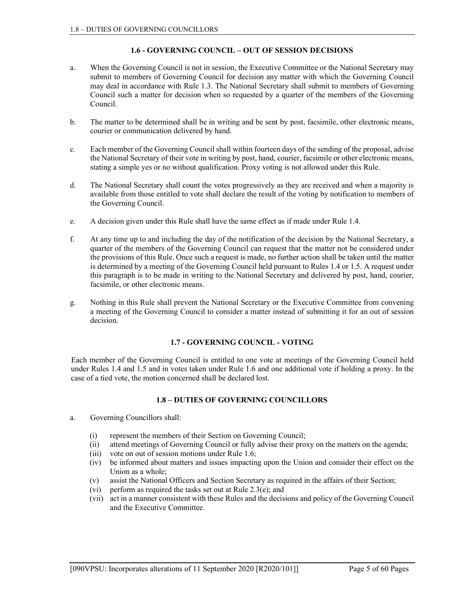# 1.6 - GOVERNING COUNCIL – OUT OF SESSION DECISIONS

- a. When the Governing Council is not in session, the Executive Committee or the National Secretary may submit to members of Governing Council for decision any matter with which the Governing Council may deal in accordance with Rule 1.3. The National Secretary shall submit to members of Governing Council such a matter for decision when so requested by a quarter of the members of the Governing Council.
- b. The matter to be determined shall be in writing and be sent by post, facsimile, other electronic means, courier or communication delivered by hand.
- c. Each member of the Governing Council shall within fourteen days of the sending of the proposal, advise the National Secretary of their vote in writing by post, hand, courier, facsimile or other electronic means, stating a simple yes or no without qualification. Proxy voting is not allowed under this Rule.
- d. The National Secretary shall count the votes progressively as they are received and when a majority is available from those entitled to vote shall declare the result of the voting by notification to members of the Governing Council.
- e. A decision given under this Rule shall have the same effect as if made under Rule 1.4.
- f. At any time up to and including the day of the notification of the decision by the National Secretary, a quarter of the members of the Governing Council can request that the matter not be considered under the provisions of this Rule. Once such a request is made, no further action shall be taken until the matter is determined by a meeting of the Governing Council held pursuant to Rules 1.4 or 1.5. A request under this paragraph is to be made in writing to the National Secretary and delivered by post, hand, courier, facsimile, or other electronic means.
- g. Nothing in this Rule shall prevent the National Secretary or the Executive Committee from convening a meeting of the Governing Council to consider a matter instead of submitting it for an out of session decision.

# 1.7 - GOVERNING COUNCIL - VOTING

Each member of the Governing Council is entitled to one vote at meetings of the Governing Council held under Rules 1.4 and 1.5 and in votes taken under Rule 1.6 and one additional vote if holding a proxy. In the case of a tied vote, the motion concerned shall be declared lost.

# 1.8 – DUTIES OF GOVERNING COUNCILLORS

- a. Governing Councillors shall:
	- (i) represent the members of their Section on Governing Council;
	- (ii) attend meetings of Governing Council or fully advise their proxy on the matters on the agenda;
	- (iii) vote on out of session motions under Rule 1.6;
	- (iv) be informed about matters and issues impacting upon the Union and consider their effect on the Union as a whole;
	- (v) assist the National Officers and Section Secretary as required in the affairs of their Section;
	- (vi) perform as required the tasks set out at Rule 2.3(e); and
	- (vii) act in a manner consistent with these Rules and the decisions and policy of the Governing Council and the Executive Committee.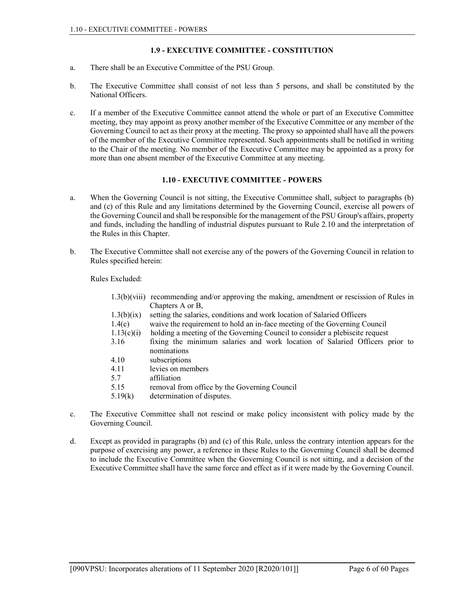# 1.9 - EXECUTIVE COMMITTEE - CONSTITUTION

- a. There shall be an Executive Committee of the PSU Group.
- b. The Executive Committee shall consist of not less than 5 persons, and shall be constituted by the National Officers.
- c. If a member of the Executive Committee cannot attend the whole or part of an Executive Committee meeting, they may appoint as proxy another member of the Executive Committee or any member of the Governing Council to act as their proxy at the meeting. The proxy so appointed shall have all the powers of the member of the Executive Committee represented. Such appointments shall be notified in writing to the Chair of the meeting. No member of the Executive Committee may be appointed as a proxy for more than one absent member of the Executive Committee at any meeting.

## 1.10 - EXECUTIVE COMMITTEE - POWERS

- a. When the Governing Council is not sitting, the Executive Committee shall, subject to paragraphs (b) and (c) of this Rule and any limitations determined by the Governing Council, exercise all powers of the Governing Council and shall be responsible for the management of the PSU Group's affairs, property and funds, including the handling of industrial disputes pursuant to Rule 2.10 and the interpretation of the Rules in this Chapter.
- b. The Executive Committee shall not exercise any of the powers of the Governing Council in relation to Rules specified herein:

Rules Excluded:

|            | $1.3(b)(viii)$ recommending and/or approving the making, amendment or rescission of Rules in |  |  |
|------------|----------------------------------------------------------------------------------------------|--|--|
|            | Chapters A or B,                                                                             |  |  |
| 1.3(b)(ix) | setting the salaries, conditions and work location of Salaried Officers                      |  |  |
| 1.4(c)     | waive the requirement to hold an in-face meeting of the Governing Council                    |  |  |
| 1.13(c)(i) | holding a meeting of the Governing Council to consider a plebiscite request                  |  |  |
| 3.16       | fixing the minimum salaries and work location of Salaried Officers prior to                  |  |  |
|            | nominations                                                                                  |  |  |
| 4.10       | subscriptions                                                                                |  |  |
| 4.11       | levies on members                                                                            |  |  |
| 5.7        | affiliation                                                                                  |  |  |
| 5.15       | removal from office by the Governing Council                                                 |  |  |
| 5.19(k)    | determination of disputes.                                                                   |  |  |

- c. The Executive Committee shall not rescind or make policy inconsistent with policy made by the Governing Council.
- d. Except as provided in paragraphs (b) and (c) of this Rule, unless the contrary intention appears for the purpose of exercising any power, a reference in these Rules to the Governing Council shall be deemed to include the Executive Committee when the Governing Council is not sitting, and a decision of the Executive Committee shall have the same force and effect as if it were made by the Governing Council.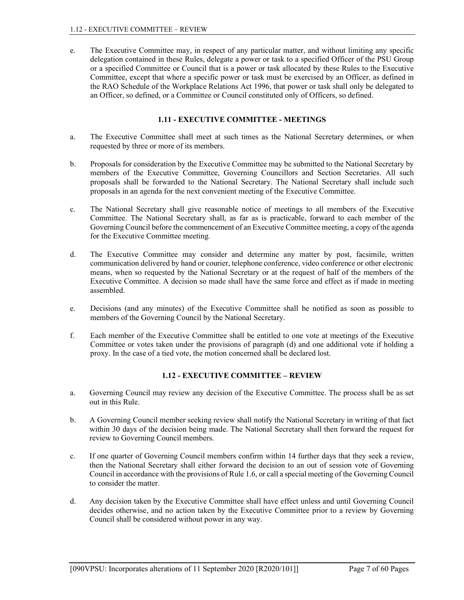e. The Executive Committee may, in respect of any particular matter, and without limiting any specific delegation contained in these Rules, delegate a power or task to a specified Officer of the PSU Group or a specified Committee or Council that is a power or task allocated by these Rules to the Executive Committee, except that where a specific power or task must be exercised by an Officer, as defined in the RAO Schedule of the Workplace Relations Act 1996, that power or task shall only be delegated to an Officer, so defined, or a Committee or Council constituted only of Officers, so defined.

# 1.11 - EXECUTIVE COMMITTEE - MEETINGS

- a. The Executive Committee shall meet at such times as the National Secretary determines, or when requested by three or more of its members.
- b. Proposals for consideration by the Executive Committee may be submitted to the National Secretary by members of the Executive Committee, Governing Councillors and Section Secretaries. All such proposals shall be forwarded to the National Secretary. The National Secretary shall include such proposals in an agenda for the next convenient meeting of the Executive Committee.
- c. The National Secretary shall give reasonable notice of meetings to all members of the Executive Committee. The National Secretary shall, as far as is practicable, forward to each member of the Governing Council before the commencement of an Executive Committee meeting, a copy of the agenda for the Executive Committee meeting.
- d. The Executive Committee may consider and determine any matter by post, facsimile, written communication delivered by hand or courier, telephone conference, video conference or other electronic means, when so requested by the National Secretary or at the request of half of the members of the Executive Committee. A decision so made shall have the same force and effect as if made in meeting assembled.
- e. Decisions (and any minutes) of the Executive Committee shall be notified as soon as possible to members of the Governing Council by the National Secretary.
- f. Each member of the Executive Committee shall be entitled to one vote at meetings of the Executive Committee or votes taken under the provisions of paragraph (d) and one additional vote if holding a proxy. In the case of a tied vote, the motion concerned shall be declared lost.

# 1.12 - EXECUTIVE COMMITTEE – REVIEW

- a. Governing Council may review any decision of the Executive Committee. The process shall be as set out in this Rule.
- b. A Governing Council member seeking review shall notify the National Secretary in writing of that fact within 30 days of the decision being made. The National Secretary shall then forward the request for review to Governing Council members.
- c. If one quarter of Governing Council members confirm within 14 further days that they seek a review, then the National Secretary shall either forward the decision to an out of session vote of Governing Council in accordance with the provisions of Rule 1.6, or call a special meeting of the Governing Council to consider the matter.
- d. Any decision taken by the Executive Committee shall have effect unless and until Governing Council decides otherwise, and no action taken by the Executive Committee prior to a review by Governing Council shall be considered without power in any way.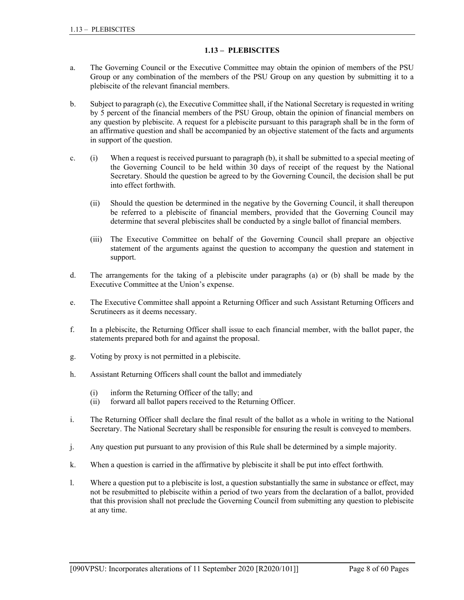# 1.13 – PLEBISCITES

- a. The Governing Council or the Executive Committee may obtain the opinion of members of the PSU Group or any combination of the members of the PSU Group on any question by submitting it to a plebiscite of the relevant financial members.
- b. Subject to paragraph (c), the Executive Committee shall, if the National Secretary is requested in writing by 5 percent of the financial members of the PSU Group, obtain the opinion of financial members on any question by plebiscite. A request for a plebiscite pursuant to this paragraph shall be in the form of an affirmative question and shall be accompanied by an objective statement of the facts and arguments in support of the question.
- c. (i) When a request is received pursuant to paragraph (b), it shall be submitted to a special meeting of the Governing Council to be held within 30 days of receipt of the request by the National Secretary. Should the question be agreed to by the Governing Council, the decision shall be put into effect forthwith.
	- (ii) Should the question be determined in the negative by the Governing Council, it shall thereupon be referred to a plebiscite of financial members, provided that the Governing Council may determine that several plebiscites shall be conducted by a single ballot of financial members.
	- (iii) The Executive Committee on behalf of the Governing Council shall prepare an objective statement of the arguments against the question to accompany the question and statement in support.
- d. The arrangements for the taking of a plebiscite under paragraphs (a) or (b) shall be made by the Executive Committee at the Union's expense.
- e. The Executive Committee shall appoint a Returning Officer and such Assistant Returning Officers and Scrutineers as it deems necessary.
- f. In a plebiscite, the Returning Officer shall issue to each financial member, with the ballot paper, the statements prepared both for and against the proposal.
- g. Voting by proxy is not permitted in a plebiscite.
- h. Assistant Returning Officers shall count the ballot and immediately
	- (i) inform the Returning Officer of the tally; and
	- (ii) forward all ballot papers received to the Returning Officer.
- i. The Returning Officer shall declare the final result of the ballot as a whole in writing to the National Secretary. The National Secretary shall be responsible for ensuring the result is conveyed to members.
- j. Any question put pursuant to any provision of this Rule shall be determined by a simple majority.
- k. When a question is carried in the affirmative by plebiscite it shall be put into effect forthwith.
- l. Where a question put to a plebiscite is lost, a question substantially the same in substance or effect, may not be resubmitted to plebiscite within a period of two years from the declaration of a ballot, provided that this provision shall not preclude the Governing Council from submitting any question to plebiscite at any time.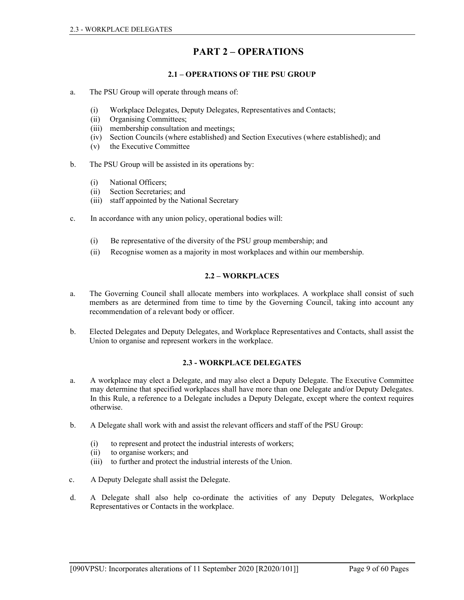# PART 2 – OPERATIONS

# 2.1 – OPERATIONS OF THE PSU GROUP

- a. The PSU Group will operate through means of:
	- (i) Workplace Delegates, Deputy Delegates, Representatives and Contacts;
	- (ii) Organising Committees;
	- (iii) membership consultation and meetings;
	- (iv) Section Councils (where established) and Section Executives (where established); and
	- (v) the Executive Committee
- b. The PSU Group will be assisted in its operations by:
	- (i) National Officers;
	- (ii) Section Secretaries; and
	- (iii) staff appointed by the National Secretary
- c. In accordance with any union policy, operational bodies will:
	- (i) Be representative of the diversity of the PSU group membership; and
	- (ii) Recognise women as a majority in most workplaces and within our membership.

# 2.2 – WORKPLACES

- a. The Governing Council shall allocate members into workplaces. A workplace shall consist of such members as are determined from time to time by the Governing Council, taking into account any recommendation of a relevant body or officer.
- b. Elected Delegates and Deputy Delegates, and Workplace Representatives and Contacts, shall assist the Union to organise and represent workers in the workplace.

# 2.3 - WORKPLACE DELEGATES

- a. A workplace may elect a Delegate, and may also elect a Deputy Delegate. The Executive Committee may determine that specified workplaces shall have more than one Delegate and/or Deputy Delegates. In this Rule, a reference to a Delegate includes a Deputy Delegate, except where the context requires otherwise.
- b. A Delegate shall work with and assist the relevant officers and staff of the PSU Group:
	- (i) to represent and protect the industrial interests of workers;
	- (ii) to organise workers; and
	- (iii) to further and protect the industrial interests of the Union.
- c. A Deputy Delegate shall assist the Delegate.
- d. A Delegate shall also help co-ordinate the activities of any Deputy Delegates, Workplace Representatives or Contacts in the workplace.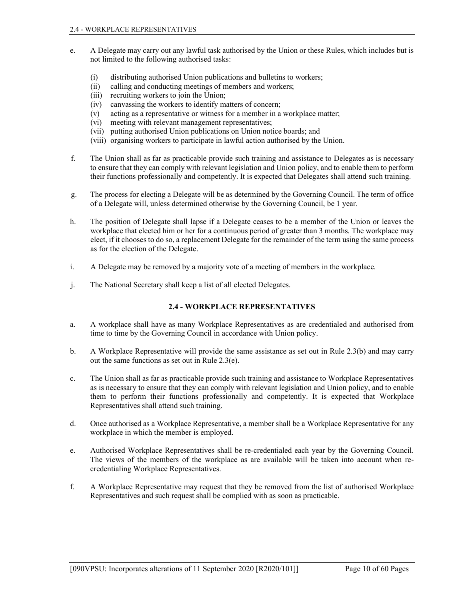- e. A Delegate may carry out any lawful task authorised by the Union or these Rules, which includes but is not limited to the following authorised tasks:
	- (i) distributing authorised Union publications and bulletins to workers;
	- (ii) calling and conducting meetings of members and workers;
	- (iii) recruiting workers to join the Union;
	- (iv) canvassing the workers to identify matters of concern;
	- (v) acting as a representative or witness for a member in a workplace matter;
	- (vi) meeting with relevant management representatives;
	- (vii) putting authorised Union publications on Union notice boards; and
	- (viii) organising workers to participate in lawful action authorised by the Union.
- f. The Union shall as far as practicable provide such training and assistance to Delegates as is necessary to ensure that they can comply with relevant legislation and Union policy, and to enable them to perform their functions professionally and competently. It is expected that Delegates shall attend such training.
- g. The process for electing a Delegate will be as determined by the Governing Council. The term of office of a Delegate will, unless determined otherwise by the Governing Council, be 1 year.
- h. The position of Delegate shall lapse if a Delegate ceases to be a member of the Union or leaves the workplace that elected him or her for a continuous period of greater than 3 months. The workplace may elect, if it chooses to do so, a replacement Delegate for the remainder of the term using the same process as for the election of the Delegate.
- i. A Delegate may be removed by a majority vote of a meeting of members in the workplace.
- j. The National Secretary shall keep a list of all elected Delegates.

# 2.4 - WORKPLACE REPRESENTATIVES

- a. A workplace shall have as many Workplace Representatives as are credentialed and authorised from time to time by the Governing Council in accordance with Union policy.
- b. A Workplace Representative will provide the same assistance as set out in Rule 2.3(b) and may carry out the same functions as set out in Rule 2.3(e).
- c. The Union shall as far as practicable provide such training and assistance to Workplace Representatives as is necessary to ensure that they can comply with relevant legislation and Union policy, and to enable them to perform their functions professionally and competently. It is expected that Workplace Representatives shall attend such training.
- d. Once authorised as a Workplace Representative, a member shall be a Workplace Representative for any workplace in which the member is employed.
- e. Authorised Workplace Representatives shall be re-credentialed each year by the Governing Council. The views of the members of the workplace as are available will be taken into account when recredentialing Workplace Representatives.
- f. A Workplace Representative may request that they be removed from the list of authorised Workplace Representatives and such request shall be complied with as soon as practicable.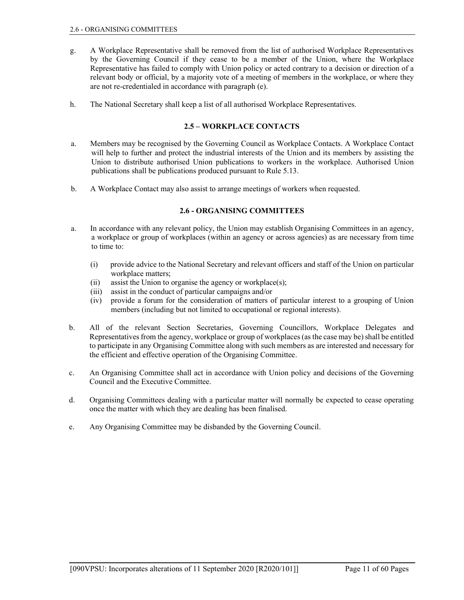- g. A Workplace Representative shall be removed from the list of authorised Workplace Representatives by the Governing Council if they cease to be a member of the Union, where the Workplace Representative has failed to comply with Union policy or acted contrary to a decision or direction of a relevant body or official, by a majority vote of a meeting of members in the workplace, or where they are not re-credentialed in accordance with paragraph (e).
- h. The National Secretary shall keep a list of all authorised Workplace Representatives.

# 2.5 – WORKPLACE CONTACTS

- a. Members may be recognised by the Governing Council as Workplace Contacts. A Workplace Contact will help to further and protect the industrial interests of the Union and its members by assisting the Union to distribute authorised Union publications to workers in the workplace. Authorised Union publications shall be publications produced pursuant to Rule 5.13.
- b. A Workplace Contact may also assist to arrange meetings of workers when requested.

# 2.6 - ORGANISING COMMITTEES

- a. In accordance with any relevant policy, the Union may establish Organising Committees in an agency, a workplace or group of workplaces (within an agency or across agencies) as are necessary from time to time to:
	- (i) provide advice to the National Secretary and relevant officers and staff of the Union on particular workplace matters;
	- (ii) assist the Union to organise the agency or workplace(s);
	- (iii) assist in the conduct of particular campaigns and/or
	- (iv) provide a forum for the consideration of matters of particular interest to a grouping of Union members (including but not limited to occupational or regional interests).
- b. All of the relevant Section Secretaries, Governing Councillors, Workplace Delegates and Representatives from the agency, workplace or group of workplaces (as the case may be) shall be entitled to participate in any Organising Committee along with such members as are interested and necessary for the efficient and effective operation of the Organising Committee.
- c. An Organising Committee shall act in accordance with Union policy and decisions of the Governing Council and the Executive Committee.
- d. Organising Committees dealing with a particular matter will normally be expected to cease operating once the matter with which they are dealing has been finalised.
- e. Any Organising Committee may be disbanded by the Governing Council.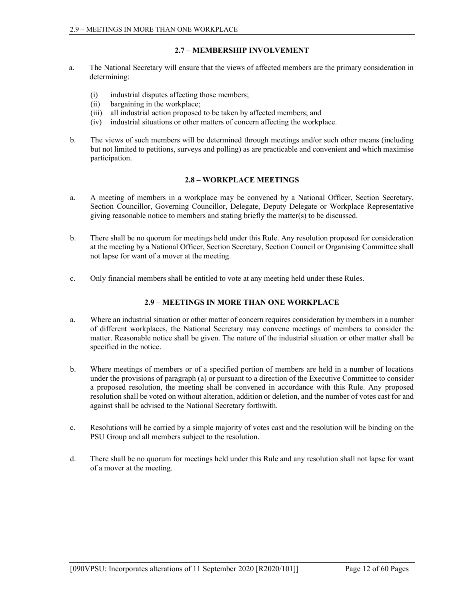# 2.7 – MEMBERSHIP INVOLVEMENT

- a. The National Secretary will ensure that the views of affected members are the primary consideration in determining:
	- (i) industrial disputes affecting those members;
	- (ii) bargaining in the workplace;
	- (iii) all industrial action proposed to be taken by affected members; and
	- (iv) industrial situations or other matters of concern affecting the workplace.
- b. The views of such members will be determined through meetings and/or such other means (including but not limited to petitions, surveys and polling) as are practicable and convenient and which maximise participation.

# 2.8 – WORKPLACE MEETINGS

- a. A meeting of members in a workplace may be convened by a National Officer, Section Secretary, Section Councillor, Governing Councillor, Delegate, Deputy Delegate or Workplace Representative giving reasonable notice to members and stating briefly the matter(s) to be discussed.
- b. There shall be no quorum for meetings held under this Rule. Any resolution proposed for consideration at the meeting by a National Officer, Section Secretary, Section Council or Organising Committee shall not lapse for want of a mover at the meeting.
- c. Only financial members shall be entitled to vote at any meeting held under these Rules.

# 2.9 – MEETINGS IN MORE THAN ONE WORKPLACE

- a. Where an industrial situation or other matter of concern requires consideration by members in a number of different workplaces, the National Secretary may convene meetings of members to consider the matter. Reasonable notice shall be given. The nature of the industrial situation or other matter shall be specified in the notice.
- b. Where meetings of members or of a specified portion of members are held in a number of locations under the provisions of paragraph (a) or pursuant to a direction of the Executive Committee to consider a proposed resolution, the meeting shall be convened in accordance with this Rule. Any proposed resolution shall be voted on without alteration, addition or deletion, and the number of votes cast for and against shall be advised to the National Secretary forthwith.
- c. Resolutions will be carried by a simple majority of votes cast and the resolution will be binding on the PSU Group and all members subject to the resolution.
- d. There shall be no quorum for meetings held under this Rule and any resolution shall not lapse for want of a mover at the meeting.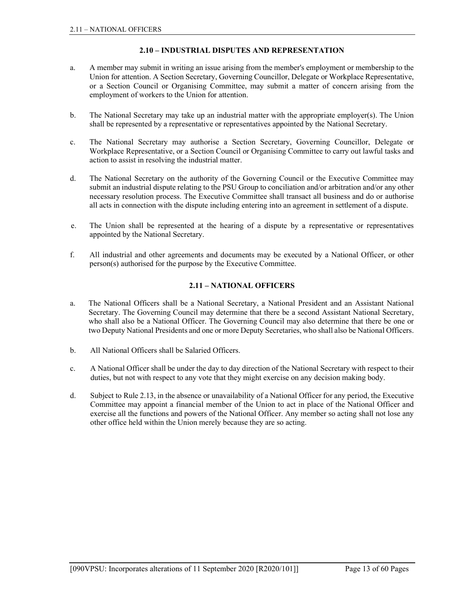# 2.10 – INDUSTRIAL DISPUTES AND REPRESENTATION

- a. A member may submit in writing an issue arising from the member's employment or membership to the Union for attention. A Section Secretary, Governing Councillor, Delegate or Workplace Representative, or a Section Council or Organising Committee, may submit a matter of concern arising from the employment of workers to the Union for attention.
- b. The National Secretary may take up an industrial matter with the appropriate employer(s). The Union shall be represented by a representative or representatives appointed by the National Secretary.
- c. The National Secretary may authorise a Section Secretary, Governing Councillor, Delegate or Workplace Representative, or a Section Council or Organising Committee to carry out lawful tasks and action to assist in resolving the industrial matter.
- d. The National Secretary on the authority of the Governing Council or the Executive Committee may submit an industrial dispute relating to the PSU Group to conciliation and/or arbitration and/or any other necessary resolution process. The Executive Committee shall transact all business and do or authorise all acts in connection with the dispute including entering into an agreement in settlement of a dispute.
- e. The Union shall be represented at the hearing of a dispute by a representative or representatives appointed by the National Secretary.
- f. All industrial and other agreements and documents may be executed by a National Officer, or other person(s) authorised for the purpose by the Executive Committee.

# 2.11 – NATIONAL OFFICERS

- a. The National Officers shall be a National Secretary, a National President and an Assistant National Secretary. The Governing Council may determine that there be a second Assistant National Secretary, who shall also be a National Officer. The Governing Council may also determine that there be one or two Deputy National Presidents and one or more Deputy Secretaries, who shall also be National Officers.
- b. All National Officers shall be Salaried Officers.
- c. A National Officer shall be under the day to day direction of the National Secretary with respect to their duties, but not with respect to any vote that they might exercise on any decision making body.
- d. Subject to Rule 2.13, in the absence or unavailability of a National Officer for any period, the Executive Committee may appoint a financial member of the Union to act in place of the National Officer and exercise all the functions and powers of the National Officer. Any member so acting shall not lose any other office held within the Union merely because they are so acting.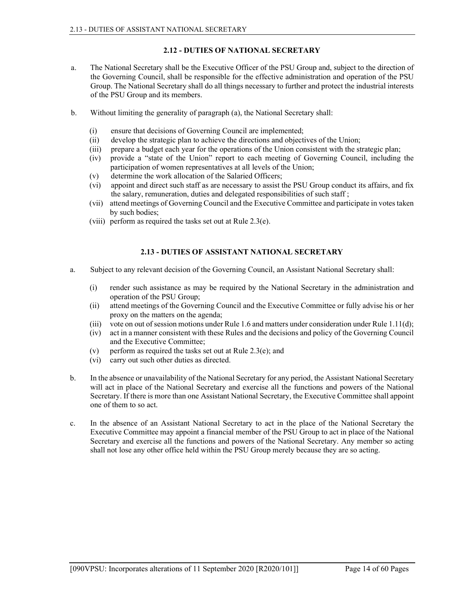# 2.12 - DUTIES OF NATIONAL SECRETARY

- a. The National Secretary shall be the Executive Officer of the PSU Group and, subject to the direction of the Governing Council, shall be responsible for the effective administration and operation of the PSU Group. The National Secretary shall do all things necessary to further and protect the industrial interests of the PSU Group and its members.
- b. Without limiting the generality of paragraph (a), the National Secretary shall:
	- (i) ensure that decisions of Governing Council are implemented;
	- (ii) develop the strategic plan to achieve the directions and objectives of the Union;
	- (iii) prepare a budget each year for the operations of the Union consistent with the strategic plan;
	- (iv) provide a "state of the Union" report to each meeting of Governing Council, including the participation of women representatives at all levels of the Union;
	- (v) determine the work allocation of the Salaried Officers;
	- (vi) appoint and direct such staff as are necessary to assist the PSU Group conduct its affairs, and fix the salary, remuneration, duties and delegated responsibilities of such staff ;
	- (vii) attend meetings of Governing Council and the Executive Committee and participate in votes taken by such bodies;
	- (viii) perform as required the tasks set out at Rule 2.3(e).

# 2.13 - DUTIES OF ASSISTANT NATIONAL SECRETARY

- a. Subject to any relevant decision of the Governing Council, an Assistant National Secretary shall:
	- (i) render such assistance as may be required by the National Secretary in the administration and operation of the PSU Group;
	- (ii) attend meetings of the Governing Council and the Executive Committee or fully advise his or her proxy on the matters on the agenda;
	- (iii) vote on out of session motions under Rule 1.6 and matters under consideration under Rule 1.11(d);
	- (iv) act in a manner consistent with these Rules and the decisions and policy of the Governing Council and the Executive Committee;
	- (v) perform as required the tasks set out at Rule  $2.3(e)$ ; and
	- (vi) carry out such other duties as directed.
- b. In the absence or unavailability of the National Secretary for any period, the Assistant National Secretary will act in place of the National Secretary and exercise all the functions and powers of the National Secretary. If there is more than one Assistant National Secretary, the Executive Committee shall appoint one of them to so act.
- c. In the absence of an Assistant National Secretary to act in the place of the National Secretary the Executive Committee may appoint a financial member of the PSU Group to act in place of the National Secretary and exercise all the functions and powers of the National Secretary. Any member so acting shall not lose any other office held within the PSU Group merely because they are so acting.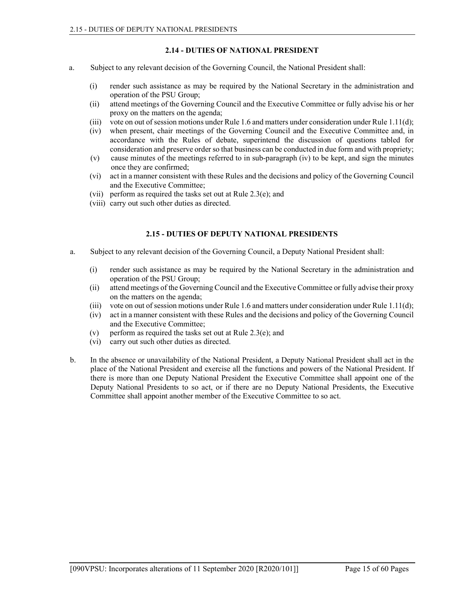# 2.14 - DUTIES OF NATIONAL PRESIDENT

- a. Subject to any relevant decision of the Governing Council, the National President shall:
	- (i) render such assistance as may be required by the National Secretary in the administration and operation of the PSU Group;
	- (ii) attend meetings of the Governing Council and the Executive Committee or fully advise his or her proxy on the matters on the agenda;
	- (iii) vote on out of session motions under Rule 1.6 and matters under consideration under Rule 1.11(d);
	- (iv) when present, chair meetings of the Governing Council and the Executive Committee and, in accordance with the Rules of debate, superintend the discussion of questions tabled for consideration and preserve order so that business can be conducted in due form and with propriety;
	- (v) cause minutes of the meetings referred to in sub-paragraph (iv) to be kept, and sign the minutes once they are confirmed;
	- (vi) act in a manner consistent with these Rules and the decisions and policy of the Governing Council and the Executive Committee;
	- (vii) perform as required the tasks set out at Rule 2.3(e); and
	- (viii) carry out such other duties as directed.

### 2.15 - DUTIES OF DEPUTY NATIONAL PRESIDENTS

- a. Subject to any relevant decision of the Governing Council, a Deputy National President shall:
	- (i) render such assistance as may be required by the National Secretary in the administration and operation of the PSU Group;
	- (ii) attend meetings of the Governing Council and the Executive Committee or fully advise their proxy on the matters on the agenda;
	- (iii) vote on out of session motions under Rule 1.6 and matters under consideration under Rule 1.11(d);
	- (iv) act in a manner consistent with these Rules and the decisions and policy of the Governing Council and the Executive Committee;
	- (v) perform as required the tasks set out at Rule  $2.3(e)$ ; and
	- (vi) carry out such other duties as directed.
- b. In the absence or unavailability of the National President, a Deputy National President shall act in the place of the National President and exercise all the functions and powers of the National President. If there is more than one Deputy National President the Executive Committee shall appoint one of the Deputy National Presidents to so act, or if there are no Deputy National Presidents, the Executive Committee shall appoint another member of the Executive Committee to so act.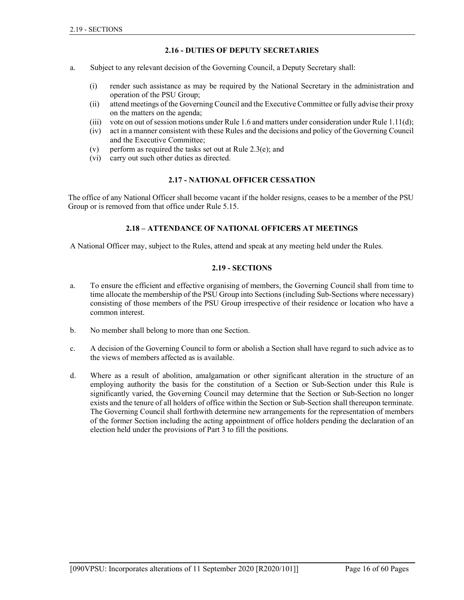# 2.16 - DUTIES OF DEPUTY SECRETARIES

- a. Subject to any relevant decision of the Governing Council, a Deputy Secretary shall:
	- (i) render such assistance as may be required by the National Secretary in the administration and operation of the PSU Group;
	- (ii) attend meetings of the Governing Council and the Executive Committee or fully advise their proxy on the matters on the agenda;
	- (iii) vote on out of session motions under Rule 1.6 and matters under consideration under Rule 1.11(d);
	- (iv) act in a manner consistent with these Rules and the decisions and policy of the Governing Council and the Executive Committee;
	- (v) perform as required the tasks set out at Rule 2.3(e); and
	- (vi) carry out such other duties as directed.

#### 2.17 - NATIONAL OFFICER CESSATION

The office of any National Officer shall become vacant if the holder resigns, ceases to be a member of the PSU Group or is removed from that office under Rule 5.15.

#### 2.18 – ATTENDANCE OF NATIONAL OFFICERS AT MEETINGS

A National Officer may, subject to the Rules, attend and speak at any meeting held under the Rules.

#### 2.19 - SECTIONS

- a. To ensure the efficient and effective organising of members, the Governing Council shall from time to time allocate the membership of the PSU Group into Sections (including Sub-Sections where necessary) consisting of those members of the PSU Group irrespective of their residence or location who have a common interest.
- b. No member shall belong to more than one Section.
- c. A decision of the Governing Council to form or abolish a Section shall have regard to such advice as to the views of members affected as is available.
- d. Where as a result of abolition, amalgamation or other significant alteration in the structure of an employing authority the basis for the constitution of a Section or Sub-Section under this Rule is significantly varied, the Governing Council may determine that the Section or Sub-Section no longer exists and the tenure of all holders of office within the Section or Sub-Section shall thereupon terminate. The Governing Council shall forthwith determine new arrangements for the representation of members of the former Section including the acting appointment of office holders pending the declaration of an election held under the provisions of Part 3 to fill the positions.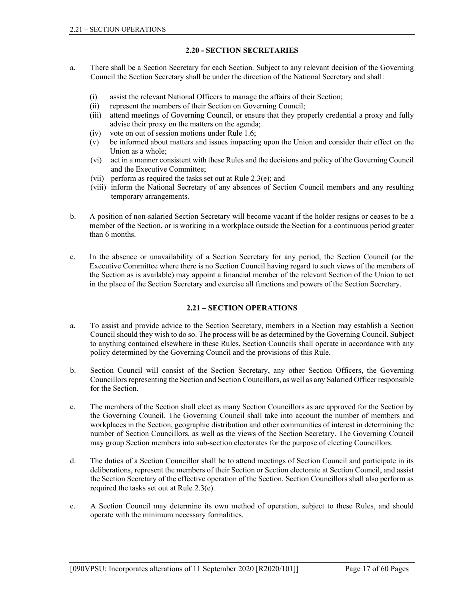# 2.20 - SECTION SECRETARIES

- a. There shall be a Section Secretary for each Section. Subject to any relevant decision of the Governing Council the Section Secretary shall be under the direction of the National Secretary and shall:
	- (i) assist the relevant National Officers to manage the affairs of their Section;
	- (ii) represent the members of their Section on Governing Council;
	- (iii) attend meetings of Governing Council, or ensure that they properly credential a proxy and fully advise their proxy on the matters on the agenda;
	- (iv) vote on out of session motions under Rule 1.6;
	- (v) be informed about matters and issues impacting upon the Union and consider their effect on the Union as a whole;
	- (vi) act in a manner consistent with these Rules and the decisions and policy of the Governing Council and the Executive Committee;
	- (vii) perform as required the tasks set out at Rule 2.3(e); and
	- (viii) inform the National Secretary of any absences of Section Council members and any resulting temporary arrangements.
- b. A position of non-salaried Section Secretary will become vacant if the holder resigns or ceases to be a member of the Section, or is working in a workplace outside the Section for a continuous period greater than 6 months.
- c. In the absence or unavailability of a Section Secretary for any period, the Section Council (or the Executive Committee where there is no Section Council having regard to such views of the members of the Section as is available) may appoint a financial member of the relevant Section of the Union to act in the place of the Section Secretary and exercise all functions and powers of the Section Secretary.

# 2.21 – SECTION OPERATIONS

- a. To assist and provide advice to the Section Secretary, members in a Section may establish a Section Council should they wish to do so. The process will be as determined by the Governing Council. Subject to anything contained elsewhere in these Rules, Section Councils shall operate in accordance with any policy determined by the Governing Council and the provisions of this Rule.
- b. Section Council will consist of the Section Secretary, any other Section Officers, the Governing Councillors representing the Section and Section Councillors, as well as any Salaried Officer responsible for the Section.
- c. The members of the Section shall elect as many Section Councillors as are approved for the Section by the Governing Council. The Governing Council shall take into account the number of members and workplaces in the Section, geographic distribution and other communities of interest in determining the number of Section Councillors, as well as the views of the Section Secretary. The Governing Council may group Section members into sub-section electorates for the purpose of electing Councillors.
- d. The duties of a Section Councillor shall be to attend meetings of Section Council and participate in its deliberations, represent the members of their Section or Section electorate at Section Council, and assist the Section Secretary of the effective operation of the Section. Section Councillors shall also perform as required the tasks set out at Rule 2.3(e).
- e. A Section Council may determine its own method of operation, subject to these Rules, and should operate with the minimum necessary formalities.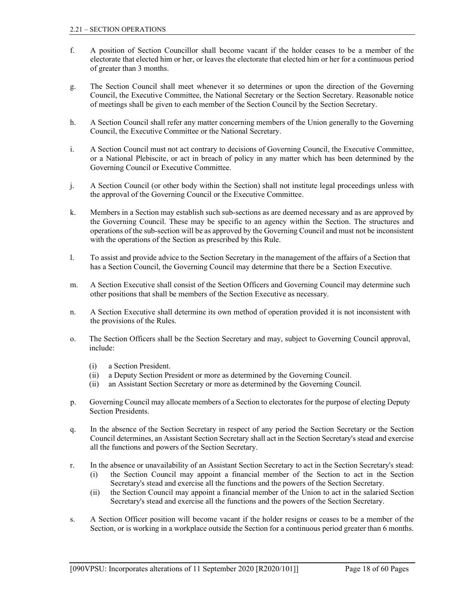- f. A position of Section Councillor shall become vacant if the holder ceases to be a member of the electorate that elected him or her, or leaves the electorate that elected him or her for a continuous period of greater than 3 months.
- g. The Section Council shall meet whenever it so determines or upon the direction of the Governing Council, the Executive Committee, the National Secretary or the Section Secretary. Reasonable notice of meetings shall be given to each member of the Section Council by the Section Secretary.
- h. A Section Council shall refer any matter concerning members of the Union generally to the Governing Council, the Executive Committee or the National Secretary.
- i. A Section Council must not act contrary to decisions of Governing Council, the Executive Committee, or a National Plebiscite, or act in breach of policy in any matter which has been determined by the Governing Council or Executive Committee.
- j. A Section Council (or other body within the Section) shall not institute legal proceedings unless with the approval of the Governing Council or the Executive Committee.
- k. Members in a Section may establish such sub-sections as are deemed necessary and as are approved by the Governing Council. These may be specific to an agency within the Section. The structures and operations of the sub-section will be as approved by the Governing Council and must not be inconsistent with the operations of the Section as prescribed by this Rule.
- l. To assist and provide advice to the Section Secretary in the management of the affairs of a Section that has a Section Council, the Governing Council may determine that there be a Section Executive.
- m. A Section Executive shall consist of the Section Officers and Governing Council may determine such other positions that shall be members of the Section Executive as necessary.
- n. A Section Executive shall determine its own method of operation provided it is not inconsistent with the provisions of the Rules.
- o. The Section Officers shall be the Section Secretary and may, subject to Governing Council approval, include:
	- (i) a Section President.
	- (ii) a Deputy Section President or more as determined by the Governing Council.
	- (ii) an Assistant Section Secretary or more as determined by the Governing Council.
- p. Governing Council may allocate members of a Section to electorates for the purpose of electing Deputy Section Presidents.
- q. In the absence of the Section Secretary in respect of any period the Section Secretary or the Section Council determines, an Assistant Section Secretary shall act in the Section Secretary's stead and exercise all the functions and powers of the Section Secretary.
- r. In the absence or unavailability of an Assistant Section Secretary to act in the Section Secretary's stead:
	- (i) the Section Council may appoint a financial member of the Section to act in the Section Secretary's stead and exercise all the functions and the powers of the Section Secretary.
	- (ii) the Section Council may appoint a financial member of the Union to act in the salaried Section Secretary's stead and exercise all the functions and the powers of the Section Secretary.
- s. A Section Officer position will become vacant if the holder resigns or ceases to be a member of the Section, or is working in a workplace outside the Section for a continuous period greater than 6 months.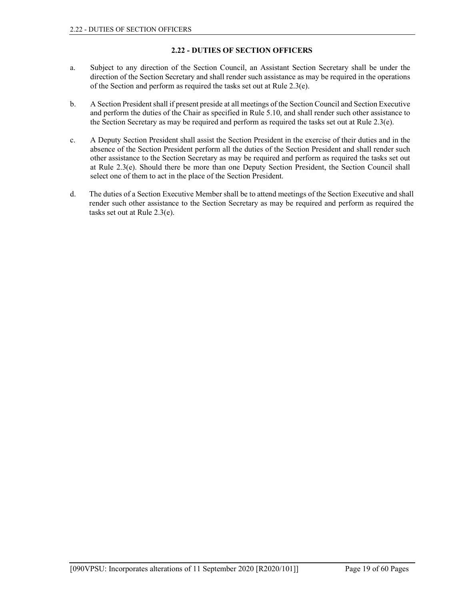# 2.22 - DUTIES OF SECTION OFFICERS

- a. Subject to any direction of the Section Council, an Assistant Section Secretary shall be under the direction of the Section Secretary and shall render such assistance as may be required in the operations of the Section and perform as required the tasks set out at Rule 2.3(e).
- b. A Section President shall if present preside at all meetings of the Section Council and Section Executive and perform the duties of the Chair as specified in Rule 5.10, and shall render such other assistance to the Section Secretary as may be required and perform as required the tasks set out at Rule 2.3(e).
- c. A Deputy Section President shall assist the Section President in the exercise of their duties and in the absence of the Section President perform all the duties of the Section President and shall render such other assistance to the Section Secretary as may be required and perform as required the tasks set out at Rule 2.3(e). Should there be more than one Deputy Section President, the Section Council shall select one of them to act in the place of the Section President.
- d. The duties of a Section Executive Member shall be to attend meetings of the Section Executive and shall render such other assistance to the Section Secretary as may be required and perform as required the tasks set out at Rule 2.3(e).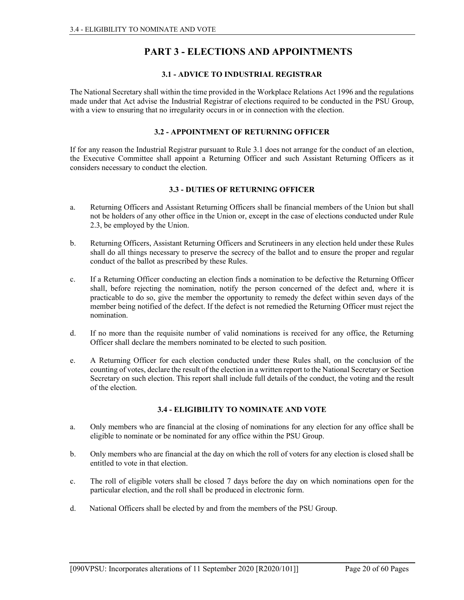# PART 3 - ELECTIONS AND APPOINTMENTS

# 3.1 - ADVICE TO INDUSTRIAL REGISTRAR

The National Secretary shall within the time provided in the Workplace Relations Act 1996 and the regulations made under that Act advise the Industrial Registrar of elections required to be conducted in the PSU Group, with a view to ensuring that no irregularity occurs in or in connection with the election.

### 3.2 - APPOINTMENT OF RETURNING OFFICER

If for any reason the Industrial Registrar pursuant to Rule 3.1 does not arrange for the conduct of an election, the Executive Committee shall appoint a Returning Officer and such Assistant Returning Officers as it considers necessary to conduct the election.

### 3.3 - DUTIES OF RETURNING OFFICER

- a. Returning Officers and Assistant Returning Officers shall be financial members of the Union but shall not be holders of any other office in the Union or, except in the case of elections conducted under Rule 2.3, be employed by the Union.
- b. Returning Officers, Assistant Returning Officers and Scrutineers in any election held under these Rules shall do all things necessary to preserve the secrecy of the ballot and to ensure the proper and regular conduct of the ballot as prescribed by these Rules.
- c. If a Returning Officer conducting an election finds a nomination to be defective the Returning Officer shall, before rejecting the nomination, notify the person concerned of the defect and, where it is practicable to do so, give the member the opportunity to remedy the defect within seven days of the member being notified of the defect. If the defect is not remedied the Returning Officer must reject the nomination.
- d. If no more than the requisite number of valid nominations is received for any office, the Returning Officer shall declare the members nominated to be elected to such position.
- e. A Returning Officer for each election conducted under these Rules shall, on the conclusion of the counting of votes, declare the result of the election in a written report to the National Secretary or Section Secretary on such election. This report shall include full details of the conduct, the voting and the result of the election.

## 3.4 - ELIGIBILITY TO NOMINATE AND VOTE

- a. Only members who are financial at the closing of nominations for any election for any office shall be eligible to nominate or be nominated for any office within the PSU Group.
- b. Only members who are financial at the day on which the roll of voters for any election is closed shall be entitled to vote in that election.
- c. The roll of eligible voters shall be closed 7 days before the day on which nominations open for the particular election, and the roll shall be produced in electronic form.
- d. National Officers shall be elected by and from the members of the PSU Group.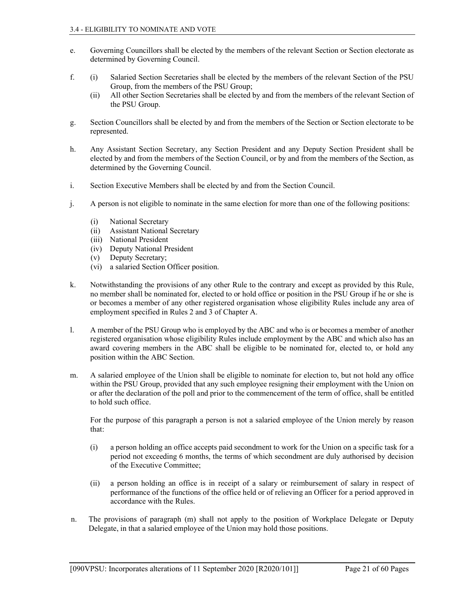- e. Governing Councillors shall be elected by the members of the relevant Section or Section electorate as determined by Governing Council.
- f. (i) Salaried Section Secretaries shall be elected by the members of the relevant Section of the PSU Group, from the members of the PSU Group;
	- (ii) All other Section Secretaries shall be elected by and from the members of the relevant Section of the PSU Group.
- g. Section Councillors shall be elected by and from the members of the Section or Section electorate to be represented.
- h. Any Assistant Section Secretary, any Section President and any Deputy Section President shall be elected by and from the members of the Section Council, or by and from the members of the Section, as determined by the Governing Council.
- i. Section Executive Members shall be elected by and from the Section Council.
- j. A person is not eligible to nominate in the same election for more than one of the following positions:
	- (i) National Secretary
	- (ii) Assistant National Secretary
	- (iii) National President
	- (iv) Deputy National President
	- (v) Deputy Secretary;
	- (vi) a salaried Section Officer position.
- k. Notwithstanding the provisions of any other Rule to the contrary and except as provided by this Rule, no member shall be nominated for, elected to or hold office or position in the PSU Group if he or she is or becomes a member of any other registered organisation whose eligibility Rules include any area of employment specified in Rules 2 and 3 of Chapter A.
- l. A member of the PSU Group who is employed by the ABC and who is or becomes a member of another registered organisation whose eligibility Rules include employment by the ABC and which also has an award covering members in the ABC shall be eligible to be nominated for, elected to, or hold any position within the ABC Section.
- m. A salaried employee of the Union shall be eligible to nominate for election to, but not hold any office within the PSU Group, provided that any such employee resigning their employment with the Union on or after the declaration of the poll and prior to the commencement of the term of office, shall be entitled to hold such office.

 For the purpose of this paragraph a person is not a salaried employee of the Union merely by reason that:

- (i) a person holding an office accepts paid secondment to work for the Union on a specific task for a period not exceeding 6 months, the terms of which secondment are duly authorised by decision of the Executive Committee;
- (ii) a person holding an office is in receipt of a salary or reimbursement of salary in respect of performance of the functions of the office held or of relieving an Officer for a period approved in accordance with the Rules.
- n. The provisions of paragraph (m) shall not apply to the position of Workplace Delegate or Deputy Delegate, in that a salaried employee of the Union may hold those positions.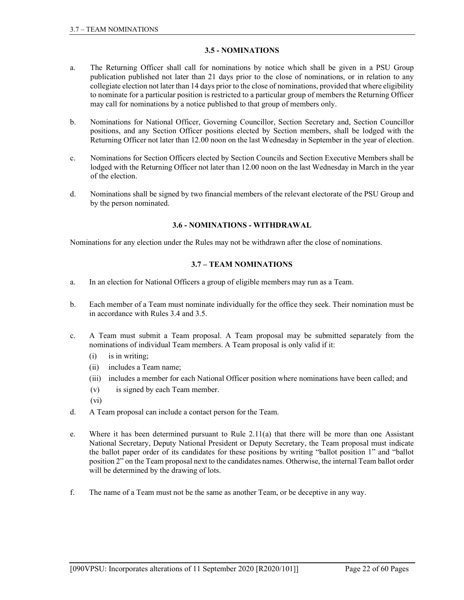# 3.5 - NOMINATIONS

- a. The Returning Officer shall call for nominations by notice which shall be given in a PSU Group publication published not later than 21 days prior to the close of nominations, or in relation to any collegiate election not later than 14 days prior to the close of nominations, provided that where eligibility to nominate for a particular position is restricted to a particular group of members the Returning Officer may call for nominations by a notice published to that group of members only.
- b. Nominations for National Officer, Governing Councillor, Section Secretary and, Section Councillor positions, and any Section Officer positions elected by Section members, shall be lodged with the Returning Officer not later than 12.00 noon on the last Wednesday in September in the year of election.
- c. Nominations for Section Officers elected by Section Councils and Section Executive Members shall be lodged with the Returning Officer not later than 12.00 noon on the last Wednesday in March in the year of the election.
- d. Nominations shall be signed by two financial members of the relevant electorate of the PSU Group and by the person nominated.

# 3.6 - NOMINATIONS - WITHDRAWAL

Nominations for any election under the Rules may not be withdrawn after the close of nominations.

### 3.7 – TEAM NOMINATIONS

- a. In an election for National Officers a group of eligible members may run as a Team.
- b. Each member of a Team must nominate individually for the office they seek. Their nomination must be in accordance with Rules 3.4 and 3.5.
- c. A Team must submit a Team proposal. A Team proposal may be submitted separately from the nominations of individual Team members. A Team proposal is only valid if it:
	- (i) is in writing;
	- (ii) includes a Team name;
	- (iii) includes a member for each National Officer position where nominations have been called; and
	- (v) is signed by each Team member.
	- (vi)
- d. A Team proposal can include a contact person for the Team.
- e. Where it has been determined pursuant to Rule 2.11(a) that there will be more than one Assistant National Secretary, Deputy National President or Deputy Secretary, the Team proposal must indicate the ballot paper order of its candidates for these positions by writing "ballot position 1" and "ballot position 2" on the Team proposal next to the candidates names. Otherwise, the internal Team ballot order will be determined by the drawing of lots.
- f. The name of a Team must not be the same as another Team, or be deceptive in any way.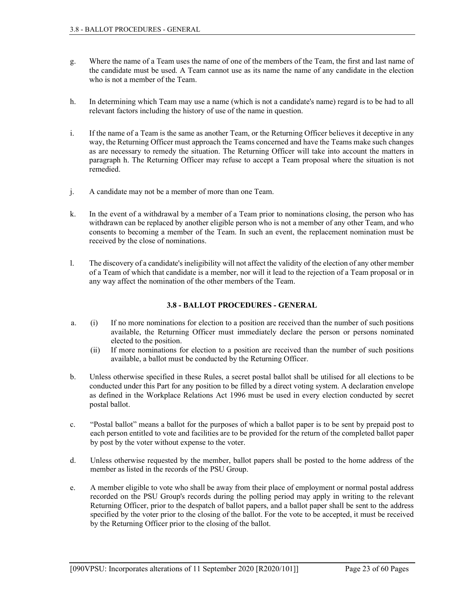- g. Where the name of a Team uses the name of one of the members of the Team, the first and last name of the candidate must be used. A Team cannot use as its name the name of any candidate in the election who is not a member of the Team.
- h. In determining which Team may use a name (which is not a candidate's name) regard is to be had to all relevant factors including the history of use of the name in question.
- i. If the name of a Team is the same as another Team, or the Returning Officer believes it deceptive in any way, the Returning Officer must approach the Teams concerned and have the Teams make such changes as are necessary to remedy the situation. The Returning Officer will take into account the matters in paragraph h. The Returning Officer may refuse to accept a Team proposal where the situation is not remedied.
- j. A candidate may not be a member of more than one Team.
- k. In the event of a withdrawal by a member of a Team prior to nominations closing, the person who has withdrawn can be replaced by another eligible person who is not a member of any other Team, and who consents to becoming a member of the Team. In such an event, the replacement nomination must be received by the close of nominations.
- l. The discovery of a candidate's ineligibility will not affect the validity of the election of any other member of a Team of which that candidate is a member, nor will it lead to the rejection of a Team proposal or in any way affect the nomination of the other members of the Team.

# 3.8 - BALLOT PROCEDURES - GENERAL

- a. (i) If no more nominations for election to a position are received than the number of such positions available, the Returning Officer must immediately declare the person or persons nominated elected to the position.
	- (ii) If more nominations for election to a position are received than the number of such positions available, a ballot must be conducted by the Returning Officer.
- b. Unless otherwise specified in these Rules, a secret postal ballot shall be utilised for all elections to be conducted under this Part for any position to be filled by a direct voting system. A declaration envelope as defined in the Workplace Relations Act 1996 must be used in every election conducted by secret postal ballot.
- c. "Postal ballot" means a ballot for the purposes of which a ballot paper is to be sent by prepaid post to each person entitled to vote and facilities are to be provided for the return of the completed ballot paper by post by the voter without expense to the voter.
- d. Unless otherwise requested by the member, ballot papers shall be posted to the home address of the member as listed in the records of the PSU Group.
- e. A member eligible to vote who shall be away from their place of employment or normal postal address recorded on the PSU Group's records during the polling period may apply in writing to the relevant Returning Officer, prior to the despatch of ballot papers, and a ballot paper shall be sent to the address specified by the voter prior to the closing of the ballot. For the vote to be accepted, it must be received by the Returning Officer prior to the closing of the ballot.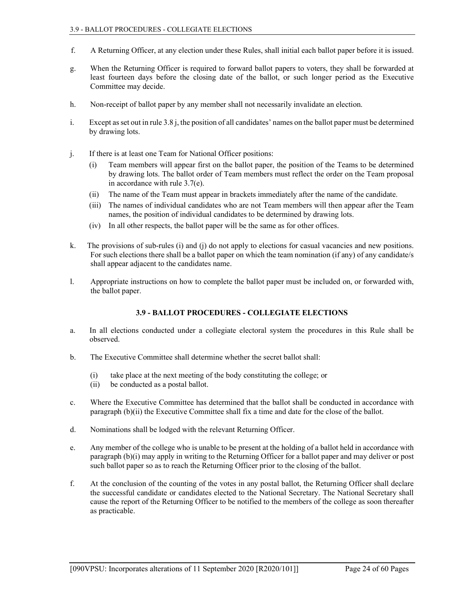- f. A Returning Officer, at any election under these Rules, shall initial each ballot paper before it is issued.
- g. When the Returning Officer is required to forward ballot papers to voters, they shall be forwarded at least fourteen days before the closing date of the ballot, or such longer period as the Executive Committee may decide.
- h. Non-receipt of ballot paper by any member shall not necessarily invalidate an election.
- i. Except as set out in rule 3.8 j, the position of all candidates' names on the ballot paper must be determined by drawing lots.
- j. If there is at least one Team for National Officer positions:
	- (i) Team members will appear first on the ballot paper, the position of the Teams to be determined by drawing lots. The ballot order of Team members must reflect the order on the Team proposal in accordance with rule 3.7(e).
	- (ii) The name of the Team must appear in brackets immediately after the name of the candidate.
	- (iii) The names of individual candidates who are not Team members will then appear after the Team names, the position of individual candidates to be determined by drawing lots.
	- (iv) In all other respects, the ballot paper will be the same as for other offices.
- k. The provisions of sub-rules (i) and (j) do not apply to elections for casual vacancies and new positions. For such elections there shall be a ballot paper on which the team nomination (if any) of any candidate/s shall appear adjacent to the candidates name.
- l. Appropriate instructions on how to complete the ballot paper must be included on, or forwarded with, the ballot paper.

# 3.9 - BALLOT PROCEDURES - COLLEGIATE ELECTIONS

- a. In all elections conducted under a collegiate electoral system the procedures in this Rule shall be observed.
- b. The Executive Committee shall determine whether the secret ballot shall:
	- (i) take place at the next meeting of the body constituting the college; or
	- (ii) be conducted as a postal ballot.
- c. Where the Executive Committee has determined that the ballot shall be conducted in accordance with paragraph (b)(ii) the Executive Committee shall fix a time and date for the close of the ballot.
- d. Nominations shall be lodged with the relevant Returning Officer.
- e. Any member of the college who is unable to be present at the holding of a ballot held in accordance with paragraph (b)(i) may apply in writing to the Returning Officer for a ballot paper and may deliver or post such ballot paper so as to reach the Returning Officer prior to the closing of the ballot.
- f. At the conclusion of the counting of the votes in any postal ballot, the Returning Officer shall declare the successful candidate or candidates elected to the National Secretary. The National Secretary shall cause the report of the Returning Officer to be notified to the members of the college as soon thereafter as practicable.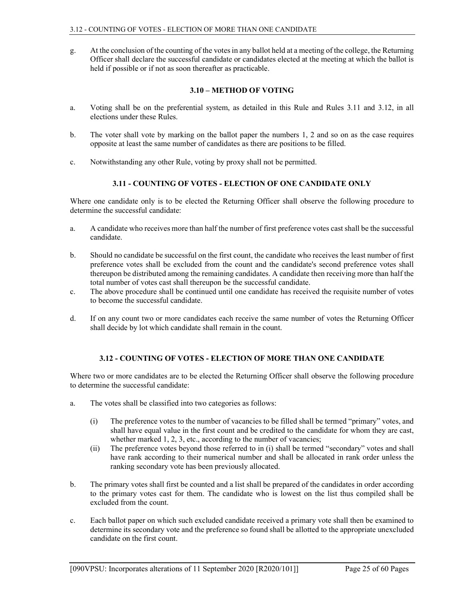g. At the conclusion of the counting of the votes in any ballot held at a meeting of the college, the Returning Officer shall declare the successful candidate or candidates elected at the meeting at which the ballot is held if possible or if not as soon thereafter as practicable.

#### 3.10 – METHOD OF VOTING

- a. Voting shall be on the preferential system, as detailed in this Rule and Rules 3.11 and 3.12, in all elections under these Rules.
- b. The voter shall vote by marking on the ballot paper the numbers 1, 2 and so on as the case requires opposite at least the same number of candidates as there are positions to be filled.
- c. Notwithstanding any other Rule, voting by proxy shall not be permitted.

# 3.11 - COUNTING OF VOTES - ELECTION OF ONE CANDIDATE ONLY

Where one candidate only is to be elected the Returning Officer shall observe the following procedure to determine the successful candidate:

- a. A candidate who receives more than half the number of first preference votes cast shall be the successful candidate.
- b. Should no candidate be successful on the first count, the candidate who receives the least number of first preference votes shall be excluded from the count and the candidate's second preference votes shall thereupon be distributed among the remaining candidates. A candidate then receiving more than half the total number of votes cast shall thereupon be the successful candidate.
- c. The above procedure shall be continued until one candidate has received the requisite number of votes to become the successful candidate.
- d. If on any count two or more candidates each receive the same number of votes the Returning Officer shall decide by lot which candidate shall remain in the count.

# 3.12 - COUNTING OF VOTES - ELECTION OF MORE THAN ONE CANDIDATE

Where two or more candidates are to be elected the Returning Officer shall observe the following procedure to determine the successful candidate:

- a. The votes shall be classified into two categories as follows:
	- (i) The preference votes to the number of vacancies to be filled shall be termed "primary" votes, and shall have equal value in the first count and be credited to the candidate for whom they are cast, whether marked 1, 2, 3, etc., according to the number of vacancies;
	- (ii) The preference votes beyond those referred to in (i) shall be termed "secondary" votes and shall have rank according to their numerical number and shall be allocated in rank order unless the ranking secondary vote has been previously allocated.
- b. The primary votes shall first be counted and a list shall be prepared of the candidates in order according to the primary votes cast for them. The candidate who is lowest on the list thus compiled shall be excluded from the count.
- c. Each ballot paper on which such excluded candidate received a primary vote shall then be examined to determine its secondary vote and the preference so found shall be allotted to the appropriate unexcluded candidate on the first count.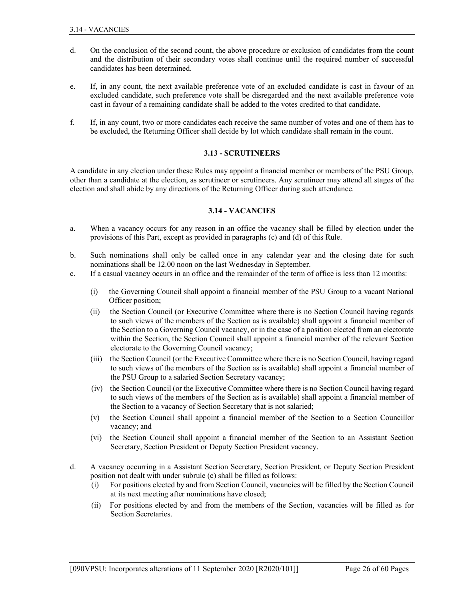- d. On the conclusion of the second count, the above procedure or exclusion of candidates from the count and the distribution of their secondary votes shall continue until the required number of successful candidates has been determined.
- e. If, in any count, the next available preference vote of an excluded candidate is cast in favour of an excluded candidate, such preference vote shall be disregarded and the next available preference vote cast in favour of a remaining candidate shall be added to the votes credited to that candidate.
- f. If, in any count, two or more candidates each receive the same number of votes and one of them has to be excluded, the Returning Officer shall decide by lot which candidate shall remain in the count.

### 3.13 - SCRUTINEERS

A candidate in any election under these Rules may appoint a financial member or members of the PSU Group, other than a candidate at the election, as scrutineer or scrutineers. Any scrutineer may attend all stages of the election and shall abide by any directions of the Returning Officer during such attendance.

### 3.14 - VACANCIES

- a. When a vacancy occurs for any reason in an office the vacancy shall be filled by election under the provisions of this Part, except as provided in paragraphs (c) and (d) of this Rule.
- b. Such nominations shall only be called once in any calendar year and the closing date for such nominations shall be 12.00 noon on the last Wednesday in September.
- c. If a casual vacancy occurs in an office and the remainder of the term of office is less than 12 months:
	- (i) the Governing Council shall appoint a financial member of the PSU Group to a vacant National Officer position;
	- (ii) the Section Council (or Executive Committee where there is no Section Council having regards to such views of the members of the Section as is available) shall appoint a financial member of the Section to a Governing Council vacancy, or in the case of a position elected from an electorate within the Section, the Section Council shall appoint a financial member of the relevant Section electorate to the Governing Council vacancy;
	- (iii) the Section Council (or the Executive Committee where there is no Section Council, having regard to such views of the members of the Section as is available) shall appoint a financial member of the PSU Group to a salaried Section Secretary vacancy;
	- (iv) the Section Council (or the Executive Committee where there is no Section Council having regard to such views of the members of the Section as is available) shall appoint a financial member of the Section to a vacancy of Section Secretary that is not salaried;
	- (v) the Section Council shall appoint a financial member of the Section to a Section Councillor vacancy; and
	- (vi) the Section Council shall appoint a financial member of the Section to an Assistant Section Secretary, Section President or Deputy Section President vacancy.
- d. A vacancy occurring in a Assistant Section Secretary, Section President, or Deputy Section President position not dealt with under subrule (c) shall be filled as follows:
	- (i) For positions elected by and from Section Council, vacancies will be filled by the Section Council at its next meeting after nominations have closed;
	- (ii) For positions elected by and from the members of the Section, vacancies will be filled as for Section Secretaries.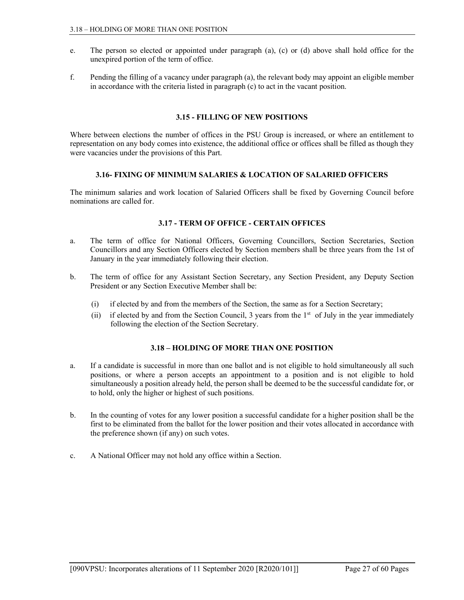- e. The person so elected or appointed under paragraph (a), (c) or (d) above shall hold office for the unexpired portion of the term of office.
- f. Pending the filling of a vacancy under paragraph (a), the relevant body may appoint an eligible member in accordance with the criteria listed in paragraph (c) to act in the vacant position.

### 3.15 - FILLING OF NEW POSITIONS

Where between elections the number of offices in the PSU Group is increased, or where an entitlement to representation on any body comes into existence, the additional office or offices shall be filled as though they were vacancies under the provisions of this Part.

## 3.16- FIXING OF MINIMUM SALARIES & LOCATION OF SALARIED OFFICERS

The minimum salaries and work location of Salaried Officers shall be fixed by Governing Council before nominations are called for.

### 3.17 - TERM OF OFFICE - CERTAIN OFFICES

- a. The term of office for National Officers, Governing Councillors, Section Secretaries, Section Councillors and any Section Officers elected by Section members shall be three years from the 1st of January in the year immediately following their election.
- b. The term of office for any Assistant Section Secretary, any Section President, any Deputy Section President or any Section Executive Member shall be:
	- (i) if elected by and from the members of the Section, the same as for a Section Secretary;
	- (ii) if elected by and from the Section Council, 3 years from the 1<sup>st</sup> of July in the year immediately following the election of the Section Secretary.

# 3.18 – HOLDING OF MORE THAN ONE POSITION

- a. If a candidate is successful in more than one ballot and is not eligible to hold simultaneously all such positions, or where a person accepts an appointment to a position and is not eligible to hold simultaneously a position already held, the person shall be deemed to be the successful candidate for, or to hold, only the higher or highest of such positions.
- b. In the counting of votes for any lower position a successful candidate for a higher position shall be the first to be eliminated from the ballot for the lower position and their votes allocated in accordance with the preference shown (if any) on such votes.
- c. A National Officer may not hold any office within a Section.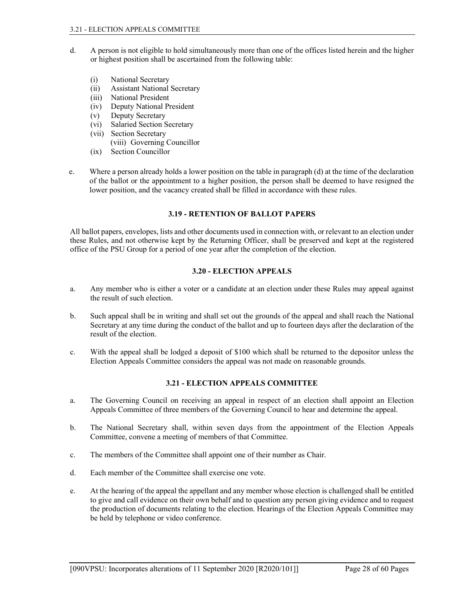- d. A person is not eligible to hold simultaneously more than one of the offices listed herein and the higher or highest position shall be ascertained from the following table:
	- (i) National Secretary
	- (ii) Assistant National Secretary
	- (iii) National President
	- (iv) Deputy National President
	- (v) Deputy Secretary
	- (vi) Salaried Section Secretary
	- (vii) Section Secretary (viii) Governing Councillor
	- (ix) Section Councillor
- e. Where a person already holds a lower position on the table in paragraph (d) at the time of the declaration of the ballot or the appointment to a higher position, the person shall be deemed to have resigned the lower position, and the vacancy created shall be filled in accordance with these rules.

# 3.19 - RETENTION OF BALLOT PAPERS

All ballot papers, envelopes, lists and other documents used in connection with, or relevant to an election under these Rules, and not otherwise kept by the Returning Officer, shall be preserved and kept at the registered office of the PSU Group for a period of one year after the completion of the election.

# 3.20 - ELECTION APPEALS

- a. Any member who is either a voter or a candidate at an election under these Rules may appeal against the result of such election.
- b. Such appeal shall be in writing and shall set out the grounds of the appeal and shall reach the National Secretary at any time during the conduct of the ballot and up to fourteen days after the declaration of the result of the election.
- c. With the appeal shall be lodged a deposit of \$100 which shall be returned to the depositor unless the Election Appeals Committee considers the appeal was not made on reasonable grounds.

# 3.21 - ELECTION APPEALS COMMITTEE

- a. The Governing Council on receiving an appeal in respect of an election shall appoint an Election Appeals Committee of three members of the Governing Council to hear and determine the appeal.
- b. The National Secretary shall, within seven days from the appointment of the Election Appeals Committee, convene a meeting of members of that Committee.
- c. The members of the Committee shall appoint one of their number as Chair.
- d. Each member of the Committee shall exercise one vote.
- e. At the hearing of the appeal the appellant and any member whose election is challenged shall be entitled to give and call evidence on their own behalf and to question any person giving evidence and to request the production of documents relating to the election. Hearings of the Election Appeals Committee may be held by telephone or video conference.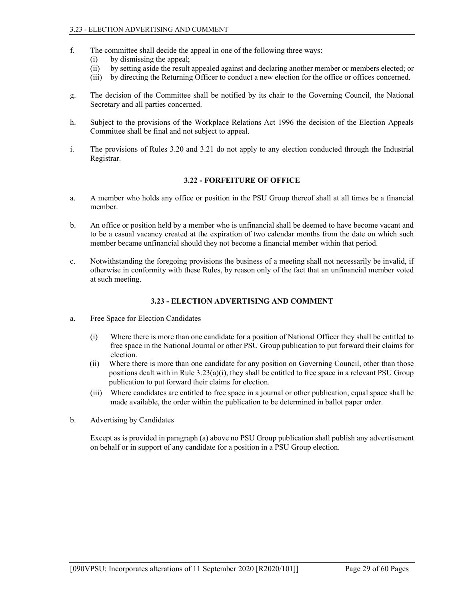- f. The committee shall decide the appeal in one of the following three ways:
	- (i) by dismissing the appeal;
	- (ii) by setting aside the result appealed against and declaring another member or members elected; or
	- (iii) by directing the Returning Officer to conduct a new election for the office or offices concerned.
- g. The decision of the Committee shall be notified by its chair to the Governing Council, the National Secretary and all parties concerned.
- h. Subject to the provisions of the Workplace Relations Act 1996 the decision of the Election Appeals Committee shall be final and not subject to appeal.
- i. The provisions of Rules 3.20 and 3.21 do not apply to any election conducted through the Industrial Registrar.

### 3.22 - FORFEITURE OF OFFICE

- a. A member who holds any office or position in the PSU Group thereof shall at all times be a financial member.
- b. An office or position held by a member who is unfinancial shall be deemed to have become vacant and to be a casual vacancy created at the expiration of two calendar months from the date on which such member became unfinancial should they not become a financial member within that period.
- c. Notwithstanding the foregoing provisions the business of a meeting shall not necessarily be invalid, if otherwise in conformity with these Rules, by reason only of the fact that an unfinancial member voted at such meeting.

# 3.23 - ELECTION ADVERTISING AND COMMENT

- a. Free Space for Election Candidates
	- (i) Where there is more than one candidate for a position of National Officer they shall be entitled to free space in the National Journal or other PSU Group publication to put forward their claims for election.
	- (ii) Where there is more than one candidate for any position on Governing Council, other than those positions dealt with in Rule  $3.23(a)(i)$ , they shall be entitled to free space in a relevant PSU Group publication to put forward their claims for election.
	- (iii) Where candidates are entitled to free space in a journal or other publication, equal space shall be made available, the order within the publication to be determined in ballot paper order.
- b. Advertising by Candidates

 Except as is provided in paragraph (a) above no PSU Group publication shall publish any advertisement on behalf or in support of any candidate for a position in a PSU Group election.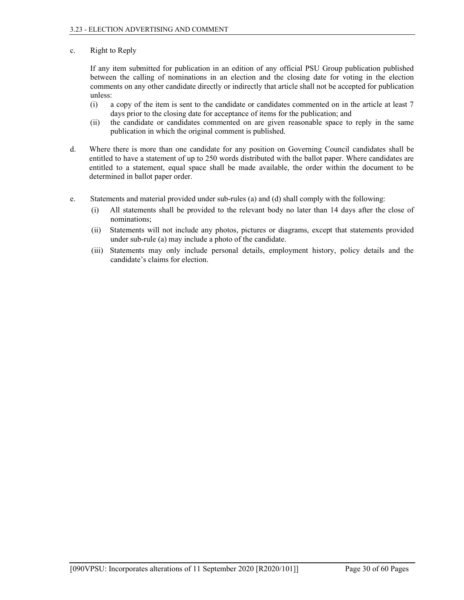# c. Right to Reply

 If any item submitted for publication in an edition of any official PSU Group publication published between the calling of nominations in an election and the closing date for voting in the election comments on any other candidate directly or indirectly that article shall not be accepted for publication unless:

- (i) a copy of the item is sent to the candidate or candidates commented on in the article at least 7 days prior to the closing date for acceptance of items for the publication; and
- (ii) the candidate or candidates commented on are given reasonable space to reply in the same publication in which the original comment is published.
- d. Where there is more than one candidate for any position on Governing Council candidates shall be entitled to have a statement of up to 250 words distributed with the ballot paper. Where candidates are entitled to a statement, equal space shall be made available, the order within the document to be determined in ballot paper order.
- e. Statements and material provided under sub-rules (a) and (d) shall comply with the following:
	- (i) All statements shall be provided to the relevant body no later than 14 days after the close of nominations;
	- (ii) Statements will not include any photos, pictures or diagrams, except that statements provided under sub-rule (a) may include a photo of the candidate.
	- (iii) Statements may only include personal details, employment history, policy details and the candidate's claims for election.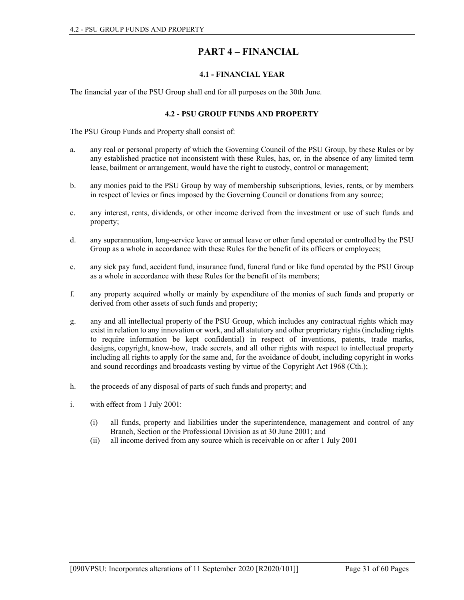# PART 4 – FINANCIAL

# 4.1 - FINANCIAL YEAR

The financial year of the PSU Group shall end for all purposes on the 30th June.

# 4.2 - PSU GROUP FUNDS AND PROPERTY

The PSU Group Funds and Property shall consist of:

- a. any real or personal property of which the Governing Council of the PSU Group, by these Rules or by any established practice not inconsistent with these Rules, has, or, in the absence of any limited term lease, bailment or arrangement, would have the right to custody, control or management;
- b. any monies paid to the PSU Group by way of membership subscriptions, levies, rents, or by members in respect of levies or fines imposed by the Governing Council or donations from any source;
- c. any interest, rents, dividends, or other income derived from the investment or use of such funds and property;
- d. any superannuation, long-service leave or annual leave or other fund operated or controlled by the PSU Group as a whole in accordance with these Rules for the benefit of its officers or employees;
- e. any sick pay fund, accident fund, insurance fund, funeral fund or like fund operated by the PSU Group as a whole in accordance with these Rules for the benefit of its members;
- f. any property acquired wholly or mainly by expenditure of the monies of such funds and property or derived from other assets of such funds and property;
- g. any and all intellectual property of the PSU Group, which includes any contractual rights which may exist in relation to any innovation or work, and all statutory and other proprietary rights (including rights to require information be kept confidential) in respect of inventions, patents, trade marks, designs, copyright, know-how, trade secrets, and all other rights with respect to intellectual property including all rights to apply for the same and, for the avoidance of doubt, including copyright in works and sound recordings and broadcasts vesting by virtue of the Copyright Act 1968 (Cth.);
- h. the proceeds of any disposal of parts of such funds and property; and
- i. with effect from 1 July 2001:
	- (i) all funds, property and liabilities under the superintendence, management and control of any Branch, Section or the Professional Division as at 30 June 2001; and
	- (ii) all income derived from any source which is receivable on or after 1 July 2001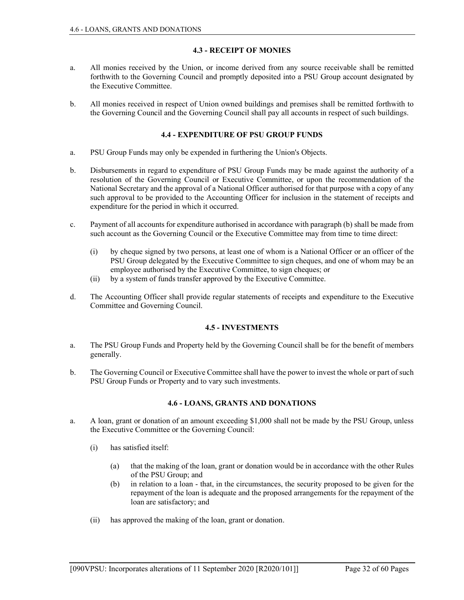## 4.3 - RECEIPT OF MONIES

- a. All monies received by the Union, or income derived from any source receivable shall be remitted forthwith to the Governing Council and promptly deposited into a PSU Group account designated by the Executive Committee.
- b. All monies received in respect of Union owned buildings and premises shall be remitted forthwith to the Governing Council and the Governing Council shall pay all accounts in respect of such buildings.

### 4.4 - EXPENDITURE OF PSU GROUP FUNDS

- a. PSU Group Funds may only be expended in furthering the Union's Objects.
- b. Disbursements in regard to expenditure of PSU Group Funds may be made against the authority of a resolution of the Governing Council or Executive Committee, or upon the recommendation of the National Secretary and the approval of a National Officer authorised for that purpose with a copy of any such approval to be provided to the Accounting Officer for inclusion in the statement of receipts and expenditure for the period in which it occurred.
- c. Payment of all accounts for expenditure authorised in accordance with paragraph (b) shall be made from such account as the Governing Council or the Executive Committee may from time to time direct:
	- (i) by cheque signed by two persons, at least one of whom is a National Officer or an officer of the PSU Group delegated by the Executive Committee to sign cheques, and one of whom may be an employee authorised by the Executive Committee, to sign cheques; or
	- (ii) by a system of funds transfer approved by the Executive Committee.
- d. The Accounting Officer shall provide regular statements of receipts and expenditure to the Executive Committee and Governing Council.

# 4.5 - INVESTMENTS

- a. The PSU Group Funds and Property held by the Governing Council shall be for the benefit of members generally.
- b. The Governing Council or Executive Committee shall have the power to invest the whole or part of such PSU Group Funds or Property and to vary such investments.

#### 4.6 - LOANS, GRANTS AND DONATIONS

- a. A loan, grant or donation of an amount exceeding \$1,000 shall not be made by the PSU Group, unless the Executive Committee or the Governing Council:
	- (i) has satisfied itself:
		- (a) that the making of the loan, grant or donation would be in accordance with the other Rules of the PSU Group; and
		- (b) in relation to a loan that, in the circumstances, the security proposed to be given for the repayment of the loan is adequate and the proposed arrangements for the repayment of the loan are satisfactory; and
	- (ii) has approved the making of the loan, grant or donation.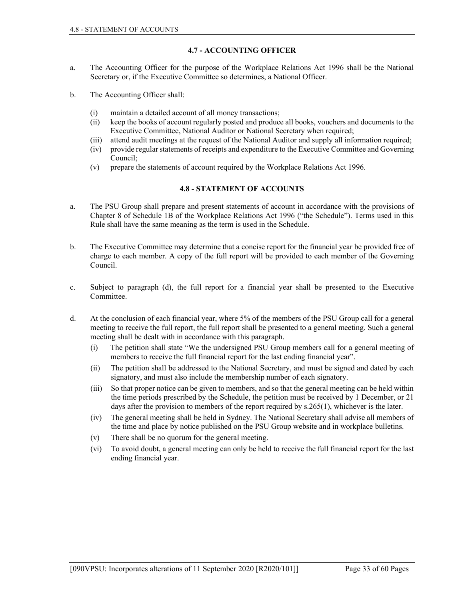# 4.7 - ACCOUNTING OFFICER

- a. The Accounting Officer for the purpose of the Workplace Relations Act 1996 shall be the National Secretary or, if the Executive Committee so determines, a National Officer.
- b. The Accounting Officer shall:
	- (i) maintain a detailed account of all money transactions;
	- (ii) keep the books of account regularly posted and produce all books, vouchers and documents to the Executive Committee, National Auditor or National Secretary when required;
	- (iii) attend audit meetings at the request of the National Auditor and supply all information required;
	- (iv) provide regular statements of receipts and expenditure to the Executive Committee and Governing Council;
	- (v) prepare the statements of account required by the Workplace Relations Act 1996.

### 4.8 - STATEMENT OF ACCOUNTS

- a. The PSU Group shall prepare and present statements of account in accordance with the provisions of Chapter 8 of Schedule 1B of the Workplace Relations Act 1996 ("the Schedule"). Terms used in this Rule shall have the same meaning as the term is used in the Schedule.
- b. The Executive Committee may determine that a concise report for the financial year be provided free of charge to each member. A copy of the full report will be provided to each member of the Governing Council.
- c. Subject to paragraph (d), the full report for a financial year shall be presented to the Executive Committee.
- d. At the conclusion of each financial year, where 5% of the members of the PSU Group call for a general meeting to receive the full report, the full report shall be presented to a general meeting. Such a general meeting shall be dealt with in accordance with this paragraph.
	- (i) The petition shall state "We the undersigned PSU Group members call for a general meeting of members to receive the full financial report for the last ending financial year".
	- (ii) The petition shall be addressed to the National Secretary, and must be signed and dated by each signatory, and must also include the membership number of each signatory.
	- (iii) So that proper notice can be given to members, and so that the general meeting can be held within the time periods prescribed by the Schedule, the petition must be received by 1 December, or 21 days after the provision to members of the report required by s.265(1), whichever is the later.
	- (iv) The general meeting shall be held in Sydney. The National Secretary shall advise all members of the time and place by notice published on the PSU Group website and in workplace bulletins.
	- (v) There shall be no quorum for the general meeting.
	- (vi) To avoid doubt, a general meeting can only be held to receive the full financial report for the last ending financial year.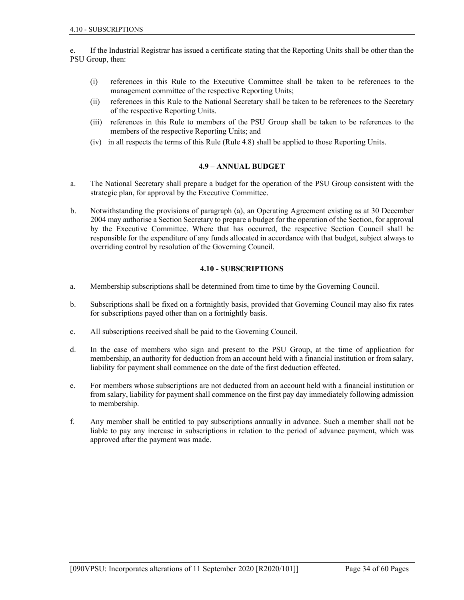e. If the Industrial Registrar has issued a certificate stating that the Reporting Units shall be other than the PSU Group, then:

- (i) references in this Rule to the Executive Committee shall be taken to be references to the management committee of the respective Reporting Units;
- (ii) references in this Rule to the National Secretary shall be taken to be references to the Secretary of the respective Reporting Units.
- (iii) references in this Rule to members of the PSU Group shall be taken to be references to the members of the respective Reporting Units; and
- (iv) in all respects the terms of this Rule (Rule 4.8) shall be applied to those Reporting Units.

#### 4.9 – ANNUAL BUDGET

- a. The National Secretary shall prepare a budget for the operation of the PSU Group consistent with the strategic plan, for approval by the Executive Committee.
- b. Notwithstanding the provisions of paragraph (a), an Operating Agreement existing as at 30 December 2004 may authorise a Section Secretary to prepare a budget for the operation of the Section, for approval by the Executive Committee. Where that has occurred, the respective Section Council shall be responsible for the expenditure of any funds allocated in accordance with that budget, subject always to overriding control by resolution of the Governing Council.

#### 4.10 - SUBSCRIPTIONS

- a. Membership subscriptions shall be determined from time to time by the Governing Council.
- b. Subscriptions shall be fixed on a fortnightly basis, provided that Governing Council may also fix rates for subscriptions payed other than on a fortnightly basis.
- c. All subscriptions received shall be paid to the Governing Council.
- d. In the case of members who sign and present to the PSU Group, at the time of application for membership, an authority for deduction from an account held with a financial institution or from salary, liability for payment shall commence on the date of the first deduction effected.
- e. For members whose subscriptions are not deducted from an account held with a financial institution or from salary, liability for payment shall commence on the first pay day immediately following admission to membership.
- f. Any member shall be entitled to pay subscriptions annually in advance. Such a member shall not be liable to pay any increase in subscriptions in relation to the period of advance payment, which was approved after the payment was made.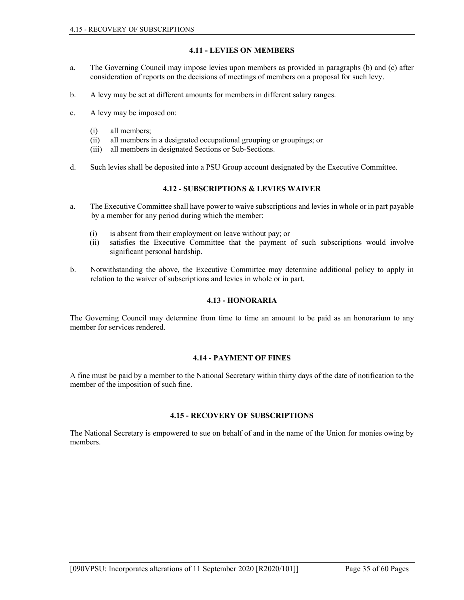# 4.11 - LEVIES ON MEMBERS

- a. The Governing Council may impose levies upon members as provided in paragraphs (b) and (c) after consideration of reports on the decisions of meetings of members on a proposal for such levy.
- b. A levy may be set at different amounts for members in different salary ranges.
- c. A levy may be imposed on:
	- (i) all members;
	- (ii) all members in a designated occupational grouping or groupings; or
	- (iii) all members in designated Sections or Sub-Sections.
- d. Such levies shall be deposited into a PSU Group account designated by the Executive Committee.

# 4.12 - SUBSCRIPTIONS & LEVIES WAIVER

- a. The Executive Committee shall have power to waive subscriptions and levies in whole or in part payable by a member for any period during which the member:
	- (i) is absent from their employment on leave without pay; or
	- (ii) satisfies the Executive Committee that the payment of such subscriptions would involve significant personal hardship.
- b. Notwithstanding the above, the Executive Committee may determine additional policy to apply in relation to the waiver of subscriptions and levies in whole or in part.

#### 4.13 - HONORARIA

The Governing Council may determine from time to time an amount to be paid as an honorarium to any member for services rendered.

### 4.14 - PAYMENT OF FINES

A fine must be paid by a member to the National Secretary within thirty days of the date of notification to the member of the imposition of such fine.

#### 4.15 - RECOVERY OF SUBSCRIPTIONS

The National Secretary is empowered to sue on behalf of and in the name of the Union for monies owing by members.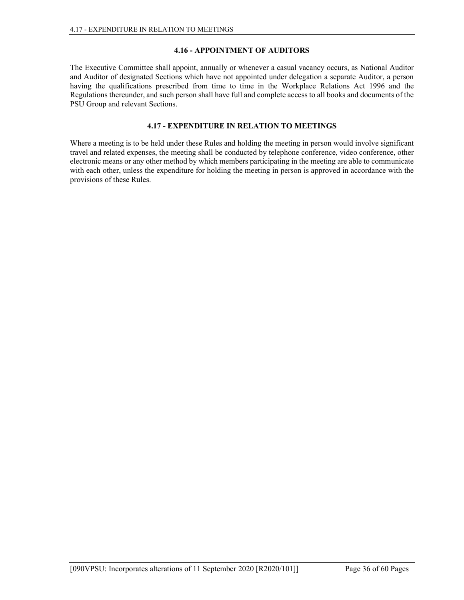## 4.16 - APPOINTMENT OF AUDITORS

The Executive Committee shall appoint, annually or whenever a casual vacancy occurs, as National Auditor and Auditor of designated Sections which have not appointed under delegation a separate Auditor, a person having the qualifications prescribed from time to time in the Workplace Relations Act 1996 and the Regulations thereunder, and such person shall have full and complete access to all books and documents of the PSU Group and relevant Sections.

# 4.17 - EXPENDITURE IN RELATION TO MEETINGS

Where a meeting is to be held under these Rules and holding the meeting in person would involve significant travel and related expenses, the meeting shall be conducted by telephone conference, video conference, other electronic means or any other method by which members participating in the meeting are able to communicate with each other, unless the expenditure for holding the meeting in person is approved in accordance with the provisions of these Rules.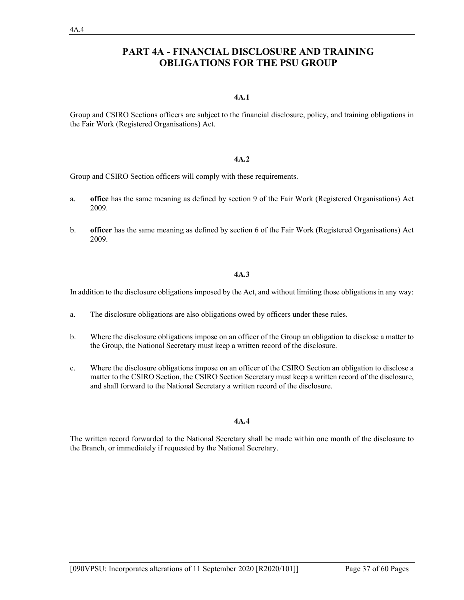# PART 4A - FINANCIAL DISCLOSURE AND TRAINING OBLIGATIONS FOR THE PSU GROUP

#### 4A.1

Group and CSIRO Sections officers are subject to the financial disclosure, policy, and training obligations in the Fair Work (Registered Organisations) Act.

# 4A.2

Group and CSIRO Section officers will comply with these requirements.

- a. office has the same meaning as defined by section 9 of the Fair Work (Registered Organisations) Act 2009.
- b. officer has the same meaning as defined by section 6 of the Fair Work (Registered Organisations) Act 2009.

#### 4A.3

In addition to the disclosure obligations imposed by the Act, and without limiting those obligations in any way:

- a. The disclosure obligations are also obligations owed by officers under these rules.
- b. Where the disclosure obligations impose on an officer of the Group an obligation to disclose a matter to the Group, the National Secretary must keep a written record of the disclosure.
- c. Where the disclosure obligations impose on an officer of the CSIRO Section an obligation to disclose a matter to the CSIRO Section, the CSIRO Section Secretary must keep a written record of the disclosure, and shall forward to the National Secretary a written record of the disclosure.

#### 4A.4

The written record forwarded to the National Secretary shall be made within one month of the disclosure to the Branch, or immediately if requested by the National Secretary.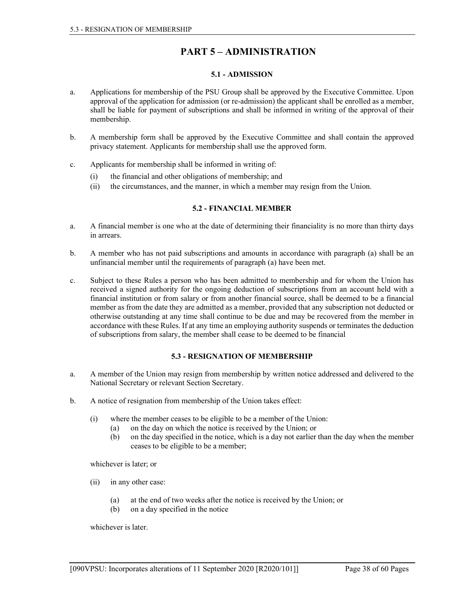# PART 5 – ADMINISTRATION

### 5.1 - ADMISSION

- a. Applications for membership of the PSU Group shall be approved by the Executive Committee. Upon approval of the application for admission (or re-admission) the applicant shall be enrolled as a member, shall be liable for payment of subscriptions and shall be informed in writing of the approval of their membership.
- b. A membership form shall be approved by the Executive Committee and shall contain the approved privacy statement. Applicants for membership shall use the approved form.
- c. Applicants for membership shall be informed in writing of:
	- (i) the financial and other obligations of membership; and
	- (ii) the circumstances, and the manner, in which a member may resign from the Union.

## 5.2 - FINANCIAL MEMBER

- a. A financial member is one who at the date of determining their financiality is no more than thirty days in arrears.
- b. A member who has not paid subscriptions and amounts in accordance with paragraph (a) shall be an unfinancial member until the requirements of paragraph (a) have been met.
- c. Subject to these Rules a person who has been admitted to membership and for whom the Union has received a signed authority for the ongoing deduction of subscriptions from an account held with a financial institution or from salary or from another financial source, shall be deemed to be a financial member as from the date they are admitted as a member, provided that any subscription not deducted or otherwise outstanding at any time shall continue to be due and may be recovered from the member in accordance with these Rules. If at any time an employing authority suspends or terminates the deduction of subscriptions from salary, the member shall cease to be deemed to be financial

# 5.3 - RESIGNATION OF MEMBERSHIP

- a. A member of the Union may resign from membership by written notice addressed and delivered to the National Secretary or relevant Section Secretary.
- b. A notice of resignation from membership of the Union takes effect:
	- (i) where the member ceases to be eligible to be a member of the Union:
		- (a) on the day on which the notice is received by the Union; or
		- (b) on the day specified in the notice, which is a day not earlier than the day when the member ceases to be eligible to be a member;

whichever is later; or

- (ii) in any other case:
	- (a) at the end of two weeks after the notice is received by the Union; or
	- (b) on a day specified in the notice

whichever is later.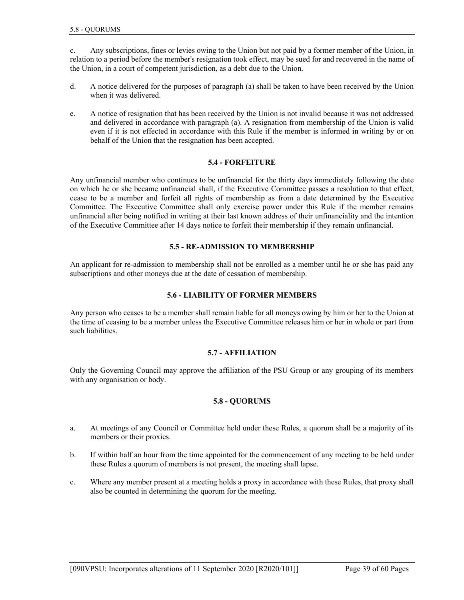c. Any subscriptions, fines or levies owing to the Union but not paid by a former member of the Union, in relation to a period before the member's resignation took effect, may be sued for and recovered in the name of the Union, in a court of competent jurisdiction, as a debt due to the Union.

- d. A notice delivered for the purposes of paragraph (a) shall be taken to have been received by the Union when it was delivered.
- e. A notice of resignation that has been received by the Union is not invalid because it was not addressed and delivered in accordance with paragraph (a). A resignation from membership of the Union is valid even if it is not effected in accordance with this Rule if the member is informed in writing by or on behalf of the Union that the resignation has been accepted.

### 5.4 - FORFEITURE

Any unfinancial member who continues to be unfinancial for the thirty days immediately following the date on which he or she became unfinancial shall, if the Executive Committee passes a resolution to that effect, cease to be a member and forfeit all rights of membership as from a date determined by the Executive Committee. The Executive Committee shall only exercise power under this Rule if the member remains unfinancial after being notified in writing at their last known address of their unfinanciality and the intention of the Executive Committee after 14 days notice to forfeit their membership if they remain unfinancial.

### 5.5 - RE-ADMISSION TO MEMBERSHIP

An applicant for re-admission to membership shall not be enrolled as a member until he or she has paid any subscriptions and other moneys due at the date of cessation of membership.

### 5.6 - LIABILITY OF FORMER MEMBERS

Any person who ceases to be a member shall remain liable for all moneys owing by him or her to the Union at the time of ceasing to be a member unless the Executive Committee releases him or her in whole or part from such liabilities.

# 5.7 - AFFILIATION

Only the Governing Council may approve the affiliation of the PSU Group or any grouping of its members with any organisation or body.

#### 5.8 - QUORUMS

- a. At meetings of any Council or Committee held under these Rules, a quorum shall be a majority of its members or their proxies.
- b. If within half an hour from the time appointed for the commencement of any meeting to be held under these Rules a quorum of members is not present, the meeting shall lapse.
- c. Where any member present at a meeting holds a proxy in accordance with these Rules, that proxy shall also be counted in determining the quorum for the meeting.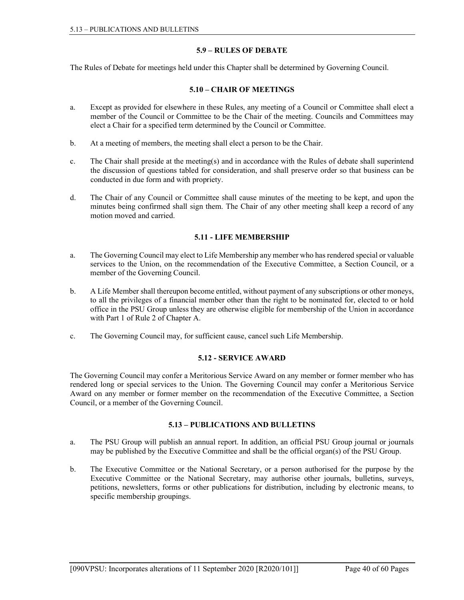# 5.9 – RULES OF DEBATE

The Rules of Debate for meetings held under this Chapter shall be determined by Governing Council.

# 5.10 – CHAIR OF MEETINGS

- a. Except as provided for elsewhere in these Rules, any meeting of a Council or Committee shall elect a member of the Council or Committee to be the Chair of the meeting. Councils and Committees may elect a Chair for a specified term determined by the Council or Committee.
- b. At a meeting of members, the meeting shall elect a person to be the Chair.
- c. The Chair shall preside at the meeting(s) and in accordance with the Rules of debate shall superintend the discussion of questions tabled for consideration, and shall preserve order so that business can be conducted in due form and with propriety.
- d. The Chair of any Council or Committee shall cause minutes of the meeting to be kept, and upon the minutes being confirmed shall sign them. The Chair of any other meeting shall keep a record of any motion moved and carried.

# 5.11 - LIFE MEMBERSHIP

- a. The Governing Council may elect to Life Membership any member who has rendered special or valuable services to the Union, on the recommendation of the Executive Committee, a Section Council, or a member of the Governing Council.
- b. A Life Member shall thereupon become entitled, without payment of any subscriptions or other moneys, to all the privileges of a financial member other than the right to be nominated for, elected to or hold office in the PSU Group unless they are otherwise eligible for membership of the Union in accordance with Part 1 of Rule 2 of Chapter A.
- c. The Governing Council may, for sufficient cause, cancel such Life Membership.

# 5.12 - SERVICE AWARD

The Governing Council may confer a Meritorious Service Award on any member or former member who has rendered long or special services to the Union. The Governing Council may confer a Meritorious Service Award on any member or former member on the recommendation of the Executive Committee, a Section Council, or a member of the Governing Council.

# 5.13 – PUBLICATIONS AND BULLETINS

- a. The PSU Group will publish an annual report. In addition, an official PSU Group journal or journals may be published by the Executive Committee and shall be the official organ(s) of the PSU Group.
- b. The Executive Committee or the National Secretary, or a person authorised for the purpose by the Executive Committee or the National Secretary, may authorise other journals, bulletins, surveys, petitions, newsletters, forms or other publications for distribution, including by electronic means, to specific membership groupings.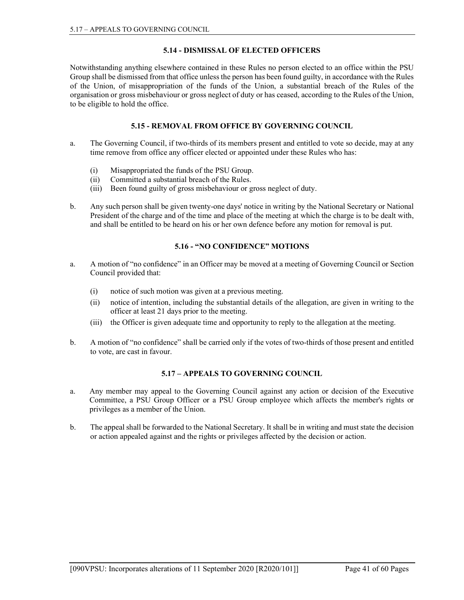# 5.14 - DISMISSAL OF ELECTED OFFICERS

Notwithstanding anything elsewhere contained in these Rules no person elected to an office within the PSU Group shall be dismissed from that office unless the person has been found guilty, in accordance with the Rules of the Union, of misappropriation of the funds of the Union, a substantial breach of the Rules of the organisation or gross misbehaviour or gross neglect of duty or has ceased, according to the Rules of the Union, to be eligible to hold the office.

# 5.15 - REMOVAL FROM OFFICE BY GOVERNING COUNCIL

- a. The Governing Council, if two-thirds of its members present and entitled to vote so decide, may at any time remove from office any officer elected or appointed under these Rules who has:
	- (i) Misappropriated the funds of the PSU Group.
	- (ii) Committed a substantial breach of the Rules.
	- (iii) Been found guilty of gross misbehaviour or gross neglect of duty.
- b. Any such person shall be given twenty-one days' notice in writing by the National Secretary or National President of the charge and of the time and place of the meeting at which the charge is to be dealt with, and shall be entitled to be heard on his or her own defence before any motion for removal is put.

# 5.16 - "NO CONFIDENCE" MOTIONS

- a. A motion of "no confidence" in an Officer may be moved at a meeting of Governing Council or Section Council provided that:
	- (i) notice of such motion was given at a previous meeting.
	- (ii) notice of intention, including the substantial details of the allegation, are given in writing to the officer at least 21 days prior to the meeting.
	- (iii) the Officer is given adequate time and opportunity to reply to the allegation at the meeting.
- b. A motion of "no confidence" shall be carried only if the votes of two-thirds of those present and entitled to vote, are cast in favour.

# 5.17 – APPEALS TO GOVERNING COUNCIL

- a. Any member may appeal to the Governing Council against any action or decision of the Executive Committee, a PSU Group Officer or a PSU Group employee which affects the member's rights or privileges as a member of the Union.
- b. The appeal shall be forwarded to the National Secretary. It shall be in writing and must state the decision or action appealed against and the rights or privileges affected by the decision or action.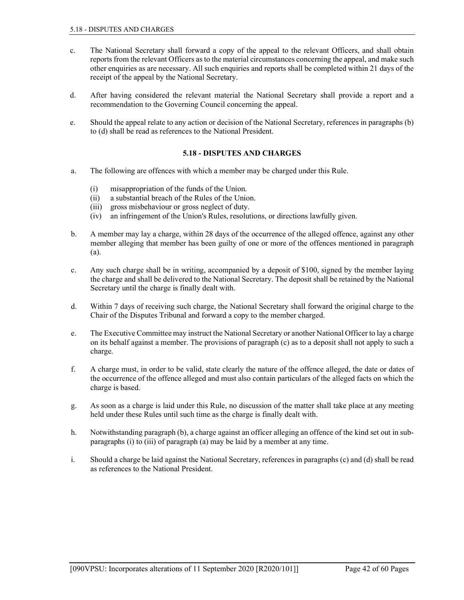- c. The National Secretary shall forward a copy of the appeal to the relevant Officers, and shall obtain reports from the relevant Officers as to the material circumstances concerning the appeal, and make such other enquiries as are necessary. All such enquiries and reports shall be completed within 21 days of the receipt of the appeal by the National Secretary.
- d. After having considered the relevant material the National Secretary shall provide a report and a recommendation to the Governing Council concerning the appeal.
- e. Should the appeal relate to any action or decision of the National Secretary, references in paragraphs (b) to (d) shall be read as references to the National President.

### 5.18 - DISPUTES AND CHARGES

- a. The following are offences with which a member may be charged under this Rule.
	- (i) misappropriation of the funds of the Union.
	- (ii) a substantial breach of the Rules of the Union.
	- (iii) gross misbehaviour or gross neglect of duty.
	- (iv) an infringement of the Union's Rules, resolutions, or directions lawfully given.
- b. A member may lay a charge, within 28 days of the occurrence of the alleged offence, against any other member alleging that member has been guilty of one or more of the offences mentioned in paragraph (a).
- c. Any such charge shall be in writing, accompanied by a deposit of \$100, signed by the member laying the charge and shall be delivered to the National Secretary. The deposit shall be retained by the National Secretary until the charge is finally dealt with.
- d. Within 7 days of receiving such charge, the National Secretary shall forward the original charge to the Chair of the Disputes Tribunal and forward a copy to the member charged.
- e. The Executive Committee may instruct the National Secretary or another National Officer to lay a charge on its behalf against a member. The provisions of paragraph (c) as to a deposit shall not apply to such a charge.
- f. A charge must, in order to be valid, state clearly the nature of the offence alleged, the date or dates of the occurrence of the offence alleged and must also contain particulars of the alleged facts on which the charge is based.
- g. As soon as a charge is laid under this Rule, no discussion of the matter shall take place at any meeting held under these Rules until such time as the charge is finally dealt with.
- h. Notwithstanding paragraph (b), a charge against an officer alleging an offence of the kind set out in subparagraphs (i) to (iii) of paragraph (a) may be laid by a member at any time.
- i. Should a charge be laid against the National Secretary, references in paragraphs (c) and (d) shall be read as references to the National President.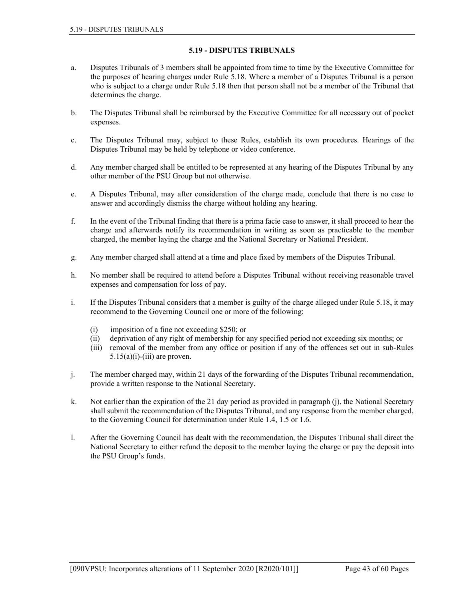# 5.19 - DISPUTES TRIBUNALS

- a. Disputes Tribunals of 3 members shall be appointed from time to time by the Executive Committee for the purposes of hearing charges under Rule 5.18. Where a member of a Disputes Tribunal is a person who is subject to a charge under Rule 5.18 then that person shall not be a member of the Tribunal that determines the charge.
- b. The Disputes Tribunal shall be reimbursed by the Executive Committee for all necessary out of pocket expenses.
- c. The Disputes Tribunal may, subject to these Rules, establish its own procedures. Hearings of the Disputes Tribunal may be held by telephone or video conference.
- d. Any member charged shall be entitled to be represented at any hearing of the Disputes Tribunal by any other member of the PSU Group but not otherwise.
- e. A Disputes Tribunal, may after consideration of the charge made, conclude that there is no case to answer and accordingly dismiss the charge without holding any hearing.
- f. In the event of the Tribunal finding that there is a prima facie case to answer, it shall proceed to hear the charge and afterwards notify its recommendation in writing as soon as practicable to the member charged, the member laying the charge and the National Secretary or National President.
- g. Any member charged shall attend at a time and place fixed by members of the Disputes Tribunal.
- h. No member shall be required to attend before a Disputes Tribunal without receiving reasonable travel expenses and compensation for loss of pay.
- i. If the Disputes Tribunal considers that a member is guilty of the charge alleged under Rule 5.18, it may recommend to the Governing Council one or more of the following:
	- (i) imposition of a fine not exceeding \$250; or
	- (ii) deprivation of any right of membership for any specified period not exceeding six months; or
	- (iii) removal of the member from any office or position if any of the offences set out in sub-Rules  $5.15(a)(i)$ -(iii) are proven.
- j. The member charged may, within 21 days of the forwarding of the Disputes Tribunal recommendation, provide a written response to the National Secretary.
- k. Not earlier than the expiration of the 21 day period as provided in paragraph (j), the National Secretary shall submit the recommendation of the Disputes Tribunal, and any response from the member charged, to the Governing Council for determination under Rule 1.4, 1.5 or 1.6.
- l. After the Governing Council has dealt with the recommendation, the Disputes Tribunal shall direct the National Secretary to either refund the deposit to the member laying the charge or pay the deposit into the PSU Group's funds.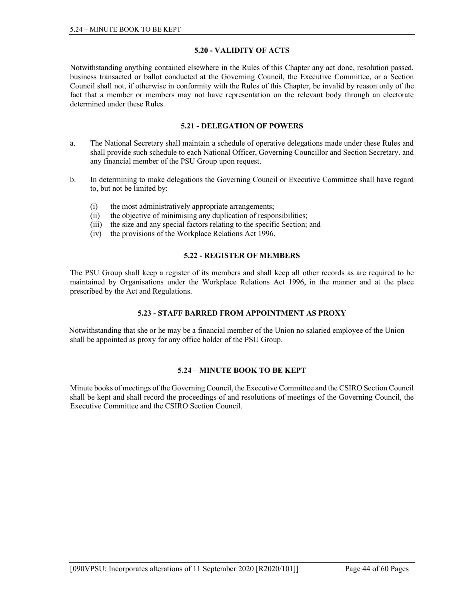# 5.20 - VALIDITY OF ACTS

Notwithstanding anything contained elsewhere in the Rules of this Chapter any act done, resolution passed, business transacted or ballot conducted at the Governing Council, the Executive Committee, or a Section Council shall not, if otherwise in conformity with the Rules of this Chapter, be invalid by reason only of the fact that a member or members may not have representation on the relevant body through an electorate determined under these Rules.

# 5.21 - DELEGATION OF POWERS

- a. The National Secretary shall maintain a schedule of operative delegations made under these Rules and shall provide such schedule to each National Officer, Governing Councillor and Section Secretary. and any financial member of the PSU Group upon request.
- b. In determining to make delegations the Governing Council or Executive Committee shall have regard to, but not be limited by:
	- (i) the most administratively appropriate arrangements;
	- (ii) the objective of minimising any duplication of responsibilities;
	- (iii) the size and any special factors relating to the specific Section; and
	- (iv) the provisions of the Workplace Relations Act 1996.

### 5.22 - REGISTER OF MEMBERS

The PSU Group shall keep a register of its members and shall keep all other records as are required to be maintained by Organisations under the Workplace Relations Act 1996, in the manner and at the place prescribed by the Act and Regulations.

# 5.23 - STAFF BARRED FROM APPOINTMENT AS PROXY

Notwithstanding that she or he may be a financial member of the Union no salaried employee of the Union shall be appointed as proxy for any office holder of the PSU Group.

# 5.24 – MINUTE BOOK TO BE KEPT

Minute books of meetings of the Governing Council, the Executive Committee and the CSIRO Section Council shall be kept and shall record the proceedings of and resolutions of meetings of the Governing Council, the Executive Committee and the CSIRO Section Council.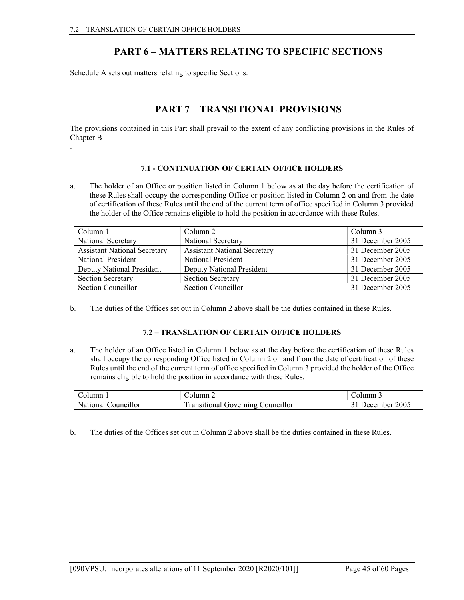# PART 6 – MATTERS RELATING TO SPECIFIC SECTIONS

Schedule A sets out matters relating to specific Sections.

# PART 7 – TRANSITIONAL PROVISIONS

The provisions contained in this Part shall prevail to the extent of any conflicting provisions in the Rules of Chapter B

.

# 7.1 - CONTINUATION OF CERTAIN OFFICE HOLDERS

a. The holder of an Office or position listed in Column 1 below as at the day before the certification of these Rules shall occupy the corresponding Office or position listed in Column 2 on and from the date of certification of these Rules until the end of the current term of office specified in Column 3 provided the holder of the Office remains eligible to hold the position in accordance with these Rules.

| Column 1                            | Column 2                            | Column 3         |
|-------------------------------------|-------------------------------------|------------------|
| National Secretary                  | National Secretary                  | 31 December 2005 |
| <b>Assistant National Secretary</b> | <b>Assistant National Secretary</b> | 31 December 2005 |
| National President                  | National President                  | 31 December 2005 |
| Deputy National President           | <b>Deputy National President</b>    | 31 December 2005 |
| <b>Section Secretary</b>            | <b>Section Secretary</b>            | 31 December 2005 |
| Section Councillor                  | Section Councillor                  | 31 December 2005 |

b. The duties of the Offices set out in Column 2 above shall be the duties contained in these Rules.

# 7.2 – TRANSLATION OF CERTAIN OFFICE HOLDERS

a. The holder of an Office listed in Column 1 below as at the day before the certification of these Rules shall occupy the corresponding Office listed in Column 2 on and from the date of certification of these Rules until the end of the current term of office specified in Column 3 provided the holder of the Office remains eligible to hold the position in accordance with these Rules.

| Column              | Column 2                                 | ⊁. olumnٽ     |
|---------------------|------------------------------------------|---------------|
| National Councillor | <b>Transitional Governing Councillor</b> | December 2005 |

b. The duties of the Offices set out in Column 2 above shall be the duties contained in these Rules.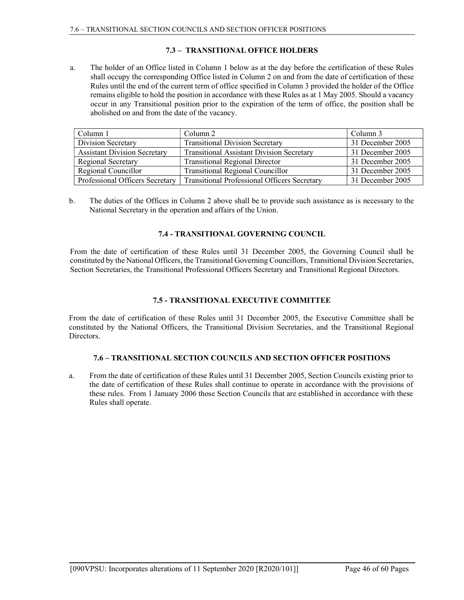# 7.3 – TRANSITIONAL OFFICE HOLDERS

a. The holder of an Office listed in Column 1 below as at the day before the certification of these Rules shall occupy the corresponding Office listed in Column 2 on and from the date of certification of these Rules until the end of the current term of office specified in Column 3 provided the holder of the Office remains eligible to hold the position in accordance with these Rules as at 1 May 2005. Should a vacancy occur in any Transitional position prior to the expiration of the term of office, the position shall be abolished on and from the date of the vacancy.

| Column 1                            | Column 2                                            | Column 3         |
|-------------------------------------|-----------------------------------------------------|------------------|
| Division Secretary                  | <b>Transitional Division Secretary</b>              | 31 December 2005 |
| <b>Assistant Division Secretary</b> | <b>Transitional Assistant Division Secretary</b>    | 31 December 2005 |
| Regional Secretary                  | <b>Transitional Regional Director</b>               | 31 December 2005 |
| Regional Councillor                 | <b>Transitional Regional Councillor</b>             | 31 December 2005 |
| Professional Officers Secretary     | <b>Transitional Professional Officers Secretary</b> | 31 December 2005 |

b. The duties of the Offices in Column 2 above shall be to provide such assistance as is necessary to the National Secretary in the operation and affairs of the Union.

### 7.4 - TRANSITIONAL GOVERNING COUNCIL

From the date of certification of these Rules until 31 December 2005, the Governing Council shall be constituted by the National Officers, the Transitional Governing Councillors, Transitional Division Secretaries, Section Secretaries, the Transitional Professional Officers Secretary and Transitional Regional Directors.

# 7.5 - TRANSITIONAL EXECUTIVE COMMITTEE

From the date of certification of these Rules until 31 December 2005, the Executive Committee shall be constituted by the National Officers, the Transitional Division Secretaries, and the Transitional Regional Directors.

#### 7.6 – TRANSITIONAL SECTION COUNCILS AND SECTION OFFICER POSITIONS

a. From the date of certification of these Rules until 31 December 2005, Section Councils existing prior to the date of certification of these Rules shall continue to operate in accordance with the provisions of these rules. From 1 January 2006 those Section Councils that are established in accordance with these Rules shall operate.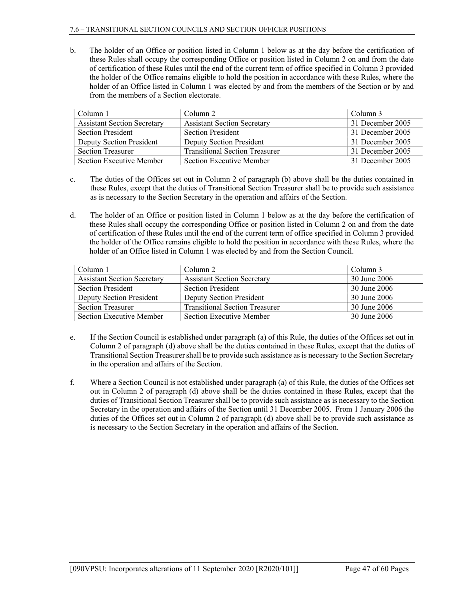#### 7.6 – TRANSITIONAL SECTION COUNCILS AND SECTION OFFICER POSITIONS

b. The holder of an Office or position listed in Column 1 below as at the day before the certification of these Rules shall occupy the corresponding Office or position listed in Column 2 on and from the date of certification of these Rules until the end of the current term of office specified in Column 3 provided the holder of the Office remains eligible to hold the position in accordance with these Rules, where the holder of an Office listed in Column 1 was elected by and from the members of the Section or by and from the members of a Section electorate.

| Column 1                           | Column 2                              | Column 3         |
|------------------------------------|---------------------------------------|------------------|
| <b>Assistant Section Secretary</b> | <b>Assistant Section Secretary</b>    | 31 December 2005 |
| <b>Section President</b>           | <b>Section President</b>              | 31 December 2005 |
| Deputy Section President           | Deputy Section President              | 31 December 2005 |
| <b>Section Treasurer</b>           | <b>Transitional Section Treasurer</b> | 31 December 2005 |
| Section Executive Member           | <b>Section Executive Member</b>       | 31 December 2005 |

- c. The duties of the Offices set out in Column 2 of paragraph (b) above shall be the duties contained in these Rules, except that the duties of Transitional Section Treasurer shall be to provide such assistance as is necessary to the Section Secretary in the operation and affairs of the Section.
- d. The holder of an Office or position listed in Column 1 below as at the day before the certification of these Rules shall occupy the corresponding Office or position listed in Column 2 on and from the date of certification of these Rules until the end of the current term of office specified in Column 3 provided the holder of the Office remains eligible to hold the position in accordance with these Rules, where the holder of an Office listed in Column 1 was elected by and from the Section Council.

| Column 1                           | Column 2                              | Column 3     |
|------------------------------------|---------------------------------------|--------------|
| <b>Assistant Section Secretary</b> | <b>Assistant Section Secretary</b>    | 30 June 2006 |
| <b>Section President</b>           | <b>Section President</b>              | 30 June 2006 |
| Deputy Section President           | Deputy Section President              | 30 June 2006 |
| <b>Section Treasurer</b>           | <b>Transitional Section Treasurer</b> | 30 June 2006 |
| Section Executive Member           | <b>Section Executive Member</b>       | 30 June 2006 |

- e. If the Section Council is established under paragraph (a) of this Rule, the duties of the Offices set out in Column 2 of paragraph (d) above shall be the duties contained in these Rules, except that the duties of Transitional Section Treasurer shall be to provide such assistance as is necessary to the Section Secretary in the operation and affairs of the Section.
- f. Where a Section Council is not established under paragraph (a) of this Rule, the duties of the Offices set out in Column 2 of paragraph (d) above shall be the duties contained in these Rules, except that the duties of Transitional Section Treasurer shall be to provide such assistance as is necessary to the Section Secretary in the operation and affairs of the Section until 31 December 2005. From 1 January 2006 the duties of the Offices set out in Column 2 of paragraph (d) above shall be to provide such assistance as is necessary to the Section Secretary in the operation and affairs of the Section.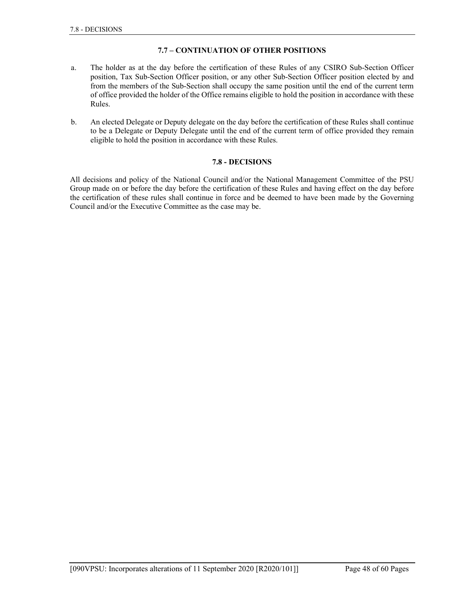# 7.7 – CONTINUATION OF OTHER POSITIONS

- a. The holder as at the day before the certification of these Rules of any CSIRO Sub-Section Officer position, Tax Sub-Section Officer position, or any other Sub-Section Officer position elected by and from the members of the Sub-Section shall occupy the same position until the end of the current term of office provided the holder of the Office remains eligible to hold the position in accordance with these Rules.
- b. An elected Delegate or Deputy delegate on the day before the certification of these Rules shall continue to be a Delegate or Deputy Delegate until the end of the current term of office provided they remain eligible to hold the position in accordance with these Rules.

#### 7.8 - DECISIONS

All decisions and policy of the National Council and/or the National Management Committee of the PSU Group made on or before the day before the certification of these Rules and having effect on the day before the certification of these rules shall continue in force and be deemed to have been made by the Governing Council and/or the Executive Committee as the case may be.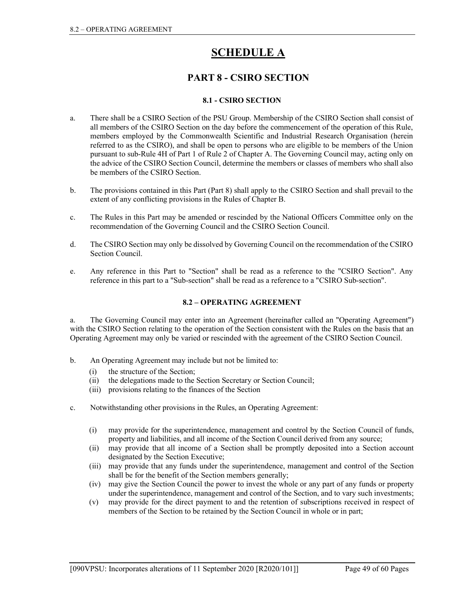# **SCHEDULE A**

# PART 8 - CSIRO SECTION

# 8.1 - CSIRO SECTION

- a. There shall be a CSIRO Section of the PSU Group. Membership of the CSIRO Section shall consist of all members of the CSIRO Section on the day before the commencement of the operation of this Rule, members employed by the Commonwealth Scientific and Industrial Research Organisation (herein referred to as the CSIRO), and shall be open to persons who are eligible to be members of the Union pursuant to sub-Rule 4H of Part 1 of Rule 2 of Chapter A. The Governing Council may, acting only on the advice of the CSIRO Section Council, determine the members or classes of members who shall also be members of the CSIRO Section.
- b. The provisions contained in this Part (Part 8) shall apply to the CSIRO Section and shall prevail to the extent of any conflicting provisions in the Rules of Chapter B.
- c. The Rules in this Part may be amended or rescinded by the National Officers Committee only on the recommendation of the Governing Council and the CSIRO Section Council.
- d. The CSIRO Section may only be dissolved by Governing Council on the recommendation of the CSIRO Section Council.
- e. Any reference in this Part to "Section" shall be read as a reference to the "CSIRO Section". Any reference in this part to a "Sub-section" shall be read as a reference to a "CSIRO Sub-section".

# 8.2 – OPERATING AGREEMENT

a. The Governing Council may enter into an Agreement (hereinafter called an "Operating Agreement") with the CSIRO Section relating to the operation of the Section consistent with the Rules on the basis that an Operating Agreement may only be varied or rescinded with the agreement of the CSIRO Section Council.

- b. An Operating Agreement may include but not be limited to:
	- (i) the structure of the Section;
	- (ii) the delegations made to the Section Secretary or Section Council;
	- (iii) provisions relating to the finances of the Section
- c. Notwithstanding other provisions in the Rules, an Operating Agreement:
	- (i) may provide for the superintendence, management and control by the Section Council of funds, property and liabilities, and all income of the Section Council derived from any source;
	- (ii) may provide that all income of a Section shall be promptly deposited into a Section account designated by the Section Executive;
	- (iii) may provide that any funds under the superintendence, management and control of the Section shall be for the benefit of the Section members generally;
	- (iv) may give the Section Council the power to invest the whole or any part of any funds or property under the superintendence, management and control of the Section, and to vary such investments;
	- (v) may provide for the direct payment to and the retention of subscriptions received in respect of members of the Section to be retained by the Section Council in whole or in part;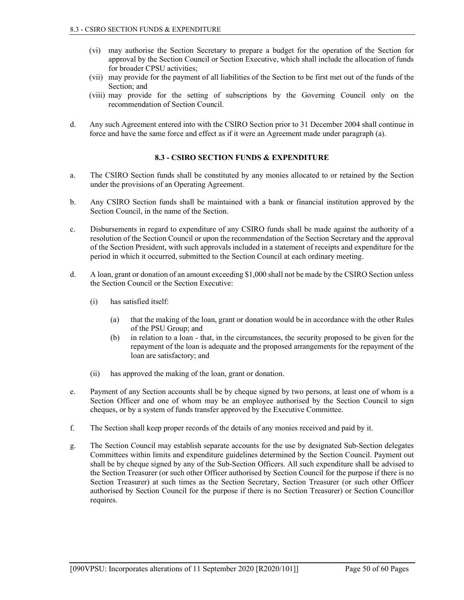- (vi) may authorise the Section Secretary to prepare a budget for the operation of the Section for approval by the Section Council or Section Executive, which shall include the allocation of funds for broader CPSU activities;
- (vii) may provide for the payment of all liabilities of the Section to be first met out of the funds of the Section; and
- (viii) may provide for the setting of subscriptions by the Governing Council only on the recommendation of Section Council.
- d. Any such Agreement entered into with the CSIRO Section prior to 31 December 2004 shall continue in force and have the same force and effect as if it were an Agreement made under paragraph (a).

### 8.3 - CSIRO SECTION FUNDS & EXPENDITURE

- a. The CSIRO Section funds shall be constituted by any monies allocated to or retained by the Section under the provisions of an Operating Agreement.
- b. Any CSIRO Section funds shall be maintained with a bank or financial institution approved by the Section Council, in the name of the Section.
- c. Disbursements in regard to expenditure of any CSIRO funds shall be made against the authority of a resolution of the Section Council or upon the recommendation of the Section Secretary and the approval of the Section President, with such approvals included in a statement of receipts and expenditure for the period in which it occurred, submitted to the Section Council at each ordinary meeting.
- d. A loan, grant or donation of an amount exceeding \$1,000 shall not be made by the CSIRO Section unless the Section Council or the Section Executive:
	- (i) has satisfied itself:
		- (a) that the making of the loan, grant or donation would be in accordance with the other Rules of the PSU Group; and
		- (b) in relation to a loan that, in the circumstances, the security proposed to be given for the repayment of the loan is adequate and the proposed arrangements for the repayment of the loan are satisfactory; and
	- (ii) has approved the making of the loan, grant or donation.
- e. Payment of any Section accounts shall be by cheque signed by two persons, at least one of whom is a Section Officer and one of whom may be an employee authorised by the Section Council to sign cheques, or by a system of funds transfer approved by the Executive Committee.
- f. The Section shall keep proper records of the details of any monies received and paid by it.
- g. The Section Council may establish separate accounts for the use by designated Sub-Section delegates Committees within limits and expenditure guidelines determined by the Section Council. Payment out shall be by cheque signed by any of the Sub-Section Officers. All such expenditure shall be advised to the Section Treasurer (or such other Officer authorised by Section Council for the purpose if there is no Section Treasurer) at such times as the Section Secretary, Section Treasurer (or such other Officer authorised by Section Council for the purpose if there is no Section Treasurer) or Section Councillor requires.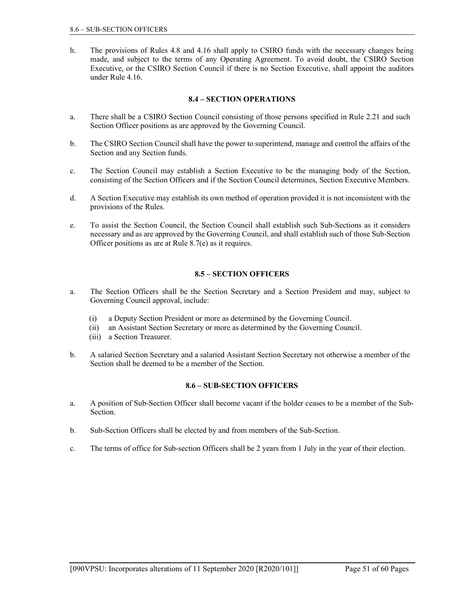h. The provisions of Rules 4.8 and 4.16 shall apply to CSIRO funds with the necessary changes being made, and subject to the terms of any Operating Agreement. To avoid doubt, the CSIRO Section Executive, or the CSIRO Section Council if there is no Section Executive, shall appoint the auditors under Rule 4.16.

# 8.4 – SECTION OPERATIONS

- a. There shall be a CSIRO Section Council consisting of those persons specified in Rule 2.21 and such Section Officer positions as are approved by the Governing Council.
- b. The CSIRO Section Council shall have the power to superintend, manage and control the affairs of the Section and any Section funds.
- c. The Section Council may establish a Section Executive to be the managing body of the Section, consisting of the Section Officers and if the Section Council determines, Section Executive Members.
- d. A Section Executive may establish its own method of operation provided it is not inconsistent with the provisions of the Rules.
- e. To assist the Section Council, the Section Council shall establish such Sub-Sections as it considers necessary and as are approved by the Governing Council, and shall establish such of those Sub-Section Officer positions as are at Rule 8.7(e) as it requires.

# 8.5 – SECTION OFFICERS

- a. The Section Officers shall be the Section Secretary and a Section President and may, subject to Governing Council approval, include:
	- (i) a Deputy Section President or more as determined by the Governing Council.
	- (ii) an Assistant Section Secretary or more as determined by the Governing Council.
	- (iii) a Section Treasurer.
- b. A salaried Section Secretary and a salaried Assistant Section Secretary not otherwise a member of the Section shall be deemed to be a member of the Section.

# 8.6 – SUB-SECTION OFFICERS

- a. A position of Sub-Section Officer shall become vacant if the holder ceases to be a member of the Sub-Section.
- b. Sub-Section Officers shall be elected by and from members of the Sub-Section.
- c. The terms of office for Sub-section Officers shall be 2 years from 1 July in the year of their election.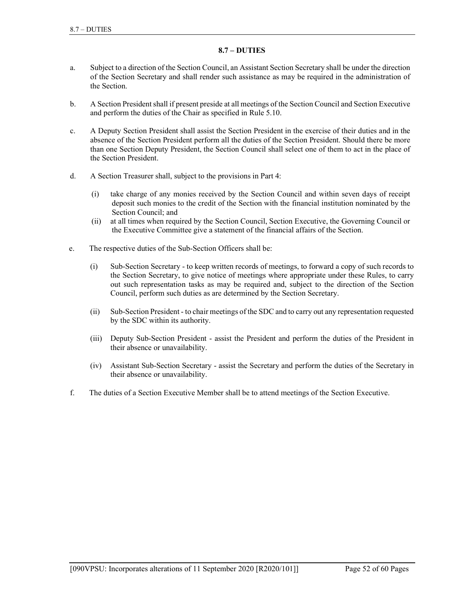# 8.7 – DUTIES

- a. Subject to a direction of the Section Council, an Assistant Section Secretary shall be under the direction of the Section Secretary and shall render such assistance as may be required in the administration of the Section.
- b. A Section President shall if present preside at all meetings of the Section Council and Section Executive and perform the duties of the Chair as specified in Rule 5.10.
- c. A Deputy Section President shall assist the Section President in the exercise of their duties and in the absence of the Section President perform all the duties of the Section President. Should there be more than one Section Deputy President, the Section Council shall select one of them to act in the place of the Section President.
- d. A Section Treasurer shall, subject to the provisions in Part 4:
	- (i) take charge of any monies received by the Section Council and within seven days of receipt deposit such monies to the credit of the Section with the financial institution nominated by the Section Council; and
	- (ii) at all times when required by the Section Council, Section Executive, the Governing Council or the Executive Committee give a statement of the financial affairs of the Section.
- e. The respective duties of the Sub-Section Officers shall be:
	- (i) Sub-Section Secretary to keep written records of meetings, to forward a copy of such records to the Section Secretary, to give notice of meetings where appropriate under these Rules, to carry out such representation tasks as may be required and, subject to the direction of the Section Council, perform such duties as are determined by the Section Secretary.
	- (ii) Sub-Section President to chair meetings of the SDC and to carry out any representation requested by the SDC within its authority.
	- (iii) Deputy Sub-Section President assist the President and perform the duties of the President in their absence or unavailability.
	- (iv) Assistant Sub-Section Secretary assist the Secretary and perform the duties of the Secretary in their absence or unavailability.
- f. The duties of a Section Executive Member shall be to attend meetings of the Section Executive.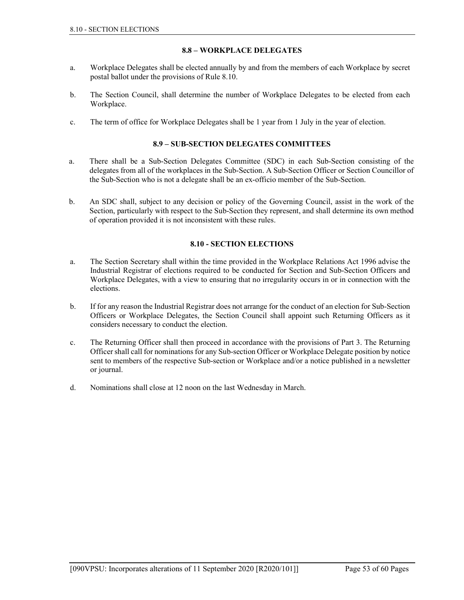# 8.8 – WORKPLACE DELEGATES

- a. Workplace Delegates shall be elected annually by and from the members of each Workplace by secret postal ballot under the provisions of Rule 8.10.
- b. The Section Council, shall determine the number of Workplace Delegates to be elected from each Workplace.
- c. The term of office for Workplace Delegates shall be 1 year from 1 July in the year of election.

# 8.9 – SUB-SECTION DELEGATES COMMITTEES

- a. There shall be a Sub-Section Delegates Committee (SDC) in each Sub-Section consisting of the delegates from all of the workplaces in the Sub-Section. A Sub-Section Officer or Section Councillor of the Sub-Section who is not a delegate shall be an ex-officio member of the Sub-Section.
- b. An SDC shall, subject to any decision or policy of the Governing Council, assist in the work of the Section, particularly with respect to the Sub-Section they represent, and shall determine its own method of operation provided it is not inconsistent with these rules.

### 8.10 - SECTION ELECTIONS

- a. The Section Secretary shall within the time provided in the Workplace Relations Act 1996 advise the Industrial Registrar of elections required to be conducted for Section and Sub-Section Officers and Workplace Delegates, with a view to ensuring that no irregularity occurs in or in connection with the elections.
- b. If for any reason the Industrial Registrar does not arrange for the conduct of an election for Sub-Section Officers or Workplace Delegates, the Section Council shall appoint such Returning Officers as it considers necessary to conduct the election.
- c. The Returning Officer shall then proceed in accordance with the provisions of Part 3. The Returning Officer shall call for nominations for any Sub-section Officer or Workplace Delegate position by notice sent to members of the respective Sub-section or Workplace and/or a notice published in a newsletter or journal.
- d. Nominations shall close at 12 noon on the last Wednesday in March.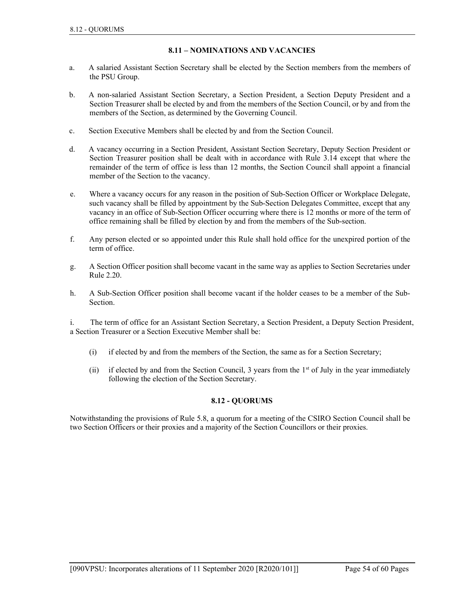# 8.11 – NOMINATIONS AND VACANCIES

- a. A salaried Assistant Section Secretary shall be elected by the Section members from the members of the PSU Group.
- b. A non-salaried Assistant Section Secretary, a Section President, a Section Deputy President and a Section Treasurer shall be elected by and from the members of the Section Council, or by and from the members of the Section, as determined by the Governing Council.
- c. Section Executive Members shall be elected by and from the Section Council.
- d. A vacancy occurring in a Section President, Assistant Section Secretary, Deputy Section President or Section Treasurer position shall be dealt with in accordance with Rule 3.14 except that where the remainder of the term of office is less than 12 months, the Section Council shall appoint a financial member of the Section to the vacancy.
- e. Where a vacancy occurs for any reason in the position of Sub-Section Officer or Workplace Delegate, such vacancy shall be filled by appointment by the Sub-Section Delegates Committee, except that any vacancy in an office of Sub-Section Officer occurring where there is 12 months or more of the term of office remaining shall be filled by election by and from the members of the Sub-section.
- f. Any person elected or so appointed under this Rule shall hold office for the unexpired portion of the term of office.
- g. A Section Officer position shall become vacant in the same way as applies to Section Secretaries under Rule 2.20.
- h. A Sub-Section Officer position shall become vacant if the holder ceases to be a member of the Sub-Section.

i. The term of office for an Assistant Section Secretary, a Section President, a Deputy Section President, a Section Treasurer or a Section Executive Member shall be:

- (i) if elected by and from the members of the Section, the same as for a Section Secretary;
- (ii) if elected by and from the Section Council, 3 years from the  $1<sup>st</sup>$  of July in the year immediately following the election of the Section Secretary.

# 8.12 - QUORUMS

Notwithstanding the provisions of Rule 5.8, a quorum for a meeting of the CSIRO Section Council shall be two Section Officers or their proxies and a majority of the Section Councillors or their proxies.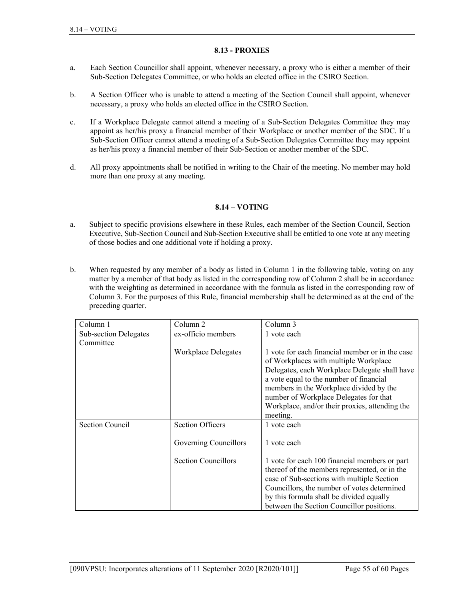## 8.13 - PROXIES

- a. Each Section Councillor shall appoint, whenever necessary, a proxy who is either a member of their Sub-Section Delegates Committee, or who holds an elected office in the CSIRO Section.
- b. A Section Officer who is unable to attend a meeting of the Section Council shall appoint, whenever necessary, a proxy who holds an elected office in the CSIRO Section.
- c. If a Workplace Delegate cannot attend a meeting of a Sub-Section Delegates Committee they may appoint as her/his proxy a financial member of their Workplace or another member of the SDC. If a Sub-Section Officer cannot attend a meeting of a Sub-Section Delegates Committee they may appoint as her/his proxy a financial member of their Sub-Section or another member of the SDC.
- d. All proxy appointments shall be notified in writing to the Chair of the meeting. No member may hold more than one proxy at any meeting.

# 8.14 – VOTING

- a. Subject to specific provisions elsewhere in these Rules, each member of the Section Council, Section Executive, Sub-Section Council and Sub-Section Executive shall be entitled to one vote at any meeting of those bodies and one additional vote if holding a proxy.
- b. When requested by any member of a body as listed in Column 1 in the following table, voting on any matter by a member of that body as listed in the corresponding row of Column 2 shall be in accordance with the weighting as determined in accordance with the formula as listed in the corresponding row of Column 3. For the purposes of this Rule, financial membership shall be determined as at the end of the preceding quarter.

| Column 1                     | Column <sub>2</sub>        | Column 3                                        |
|------------------------------|----------------------------|-------------------------------------------------|
| <b>Sub-section Delegates</b> | ex-officio members         | 1 vote each                                     |
| Committee                    |                            |                                                 |
|                              | <b>Workplace Delegates</b> | 1 vote for each financial member or in the case |
|                              |                            | of Workplaces with multiple Workplace           |
|                              |                            | Delegates, each Workplace Delegate shall have   |
|                              |                            | a vote equal to the number of financial         |
|                              |                            | members in the Workplace divided by the         |
|                              |                            | number of Workplace Delegates for that          |
|                              |                            | Workplace, and/or their proxies, attending the  |
|                              |                            | meeting.                                        |
| <b>Section Council</b>       | <b>Section Officers</b>    | 1 vote each                                     |
|                              |                            |                                                 |
|                              | Governing Councillors      | 1 vote each                                     |
|                              |                            |                                                 |
|                              | <b>Section Councillors</b> | 1 vote for each 100 financial members or part   |
|                              |                            | thereof of the members represented, or in the   |
|                              |                            | case of Sub-sections with multiple Section      |
|                              |                            | Councillors, the number of votes determined     |
|                              |                            | by this formula shall be divided equally        |
|                              |                            | between the Section Councillor positions.       |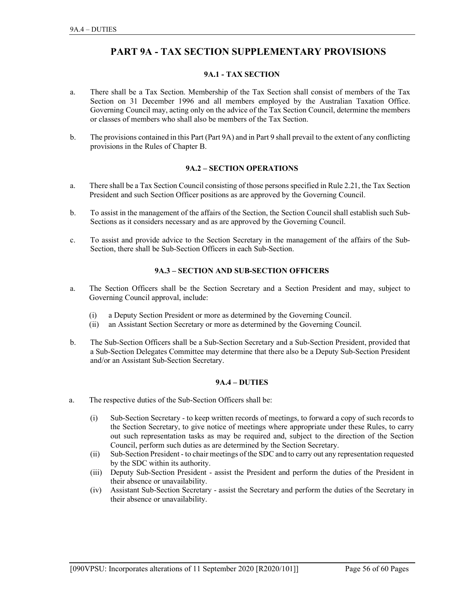# PART 9A - TAX SECTION SUPPLEMENTARY PROVISIONS

# 9A.1 - TAX SECTION

- a. There shall be a Tax Section. Membership of the Tax Section shall consist of members of the Tax Section on 31 December 1996 and all members employed by the Australian Taxation Office. Governing Council may, acting only on the advice of the Tax Section Council, determine the members or classes of members who shall also be members of the Tax Section.
- b. The provisions contained in this Part (Part 9A) and in Part 9 shall prevail to the extent of any conflicting provisions in the Rules of Chapter B.

### 9A.2 – SECTION OPERATIONS

- a. There shall be a Tax Section Council consisting of those persons specified in Rule 2.21, the Tax Section President and such Section Officer positions as are approved by the Governing Council.
- b. To assist in the management of the affairs of the Section, the Section Council shall establish such Sub-Sections as it considers necessary and as are approved by the Governing Council.
- c. To assist and provide advice to the Section Secretary in the management of the affairs of the Sub-Section, there shall be Sub-Section Officers in each Sub-Section.

# 9A.3 – SECTION AND SUB-SECTION OFFICERS

- a. The Section Officers shall be the Section Secretary and a Section President and may, subject to Governing Council approval, include:
	- (i) a Deputy Section President or more as determined by the Governing Council.
	- (ii) an Assistant Section Secretary or more as determined by the Governing Council.
- b. The Sub-Section Officers shall be a Sub-Section Secretary and a Sub-Section President, provided that a Sub-Section Delegates Committee may determine that there also be a Deputy Sub-Section President and/or an Assistant Sub-Section Secretary.

#### 9A.4 – DUTIES

- a. The respective duties of the Sub-Section Officers shall be:
- (i) Sub-Section Secretary to keep written records of meetings, to forward a copy of such records to the Section Secretary, to give notice of meetings where appropriate under these Rules, to carry out such representation tasks as may be required and, subject to the direction of the Section Council, perform such duties as are determined by the Section Secretary.
	- (ii) Sub-Section President to chair meetings of the SDC and to carry out any representation requested by the SDC within its authority.
	- (iii) Deputy Sub-Section President assist the President and perform the duties of the President in their absence or unavailability.
	- (iv) Assistant Sub-Section Secretary assist the Secretary and perform the duties of the Secretary in their absence or unavailability.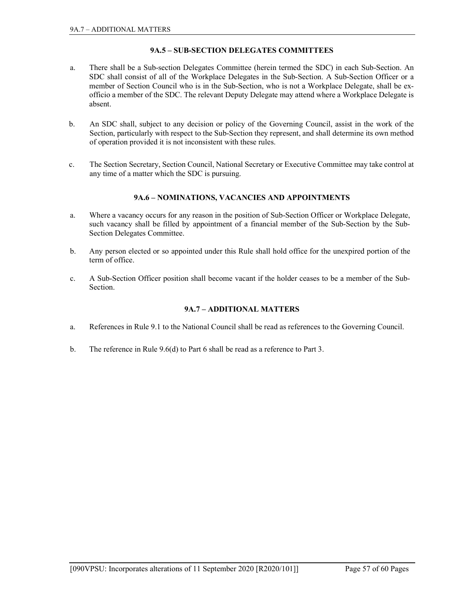# 9A.5 – SUB-SECTION DELEGATES COMMITTEES

- a. There shall be a Sub-section Delegates Committee (herein termed the SDC) in each Sub-Section. An SDC shall consist of all of the Workplace Delegates in the Sub-Section. A Sub-Section Officer or a member of Section Council who is in the Sub-Section, who is not a Workplace Delegate, shall be exofficio a member of the SDC. The relevant Deputy Delegate may attend where a Workplace Delegate is absent.
- b. An SDC shall, subject to any decision or policy of the Governing Council, assist in the work of the Section, particularly with respect to the Sub-Section they represent, and shall determine its own method of operation provided it is not inconsistent with these rules.
- c. The Section Secretary, Section Council, National Secretary or Executive Committee may take control at any time of a matter which the SDC is pursuing.

# 9A.6 – NOMINATIONS, VACANCIES AND APPOINTMENTS

- a. Where a vacancy occurs for any reason in the position of Sub-Section Officer or Workplace Delegate, such vacancy shall be filled by appointment of a financial member of the Sub-Section by the Sub-Section Delegates Committee.
- b. Any person elected or so appointed under this Rule shall hold office for the unexpired portion of the term of office.
- c. A Sub-Section Officer position shall become vacant if the holder ceases to be a member of the Sub-Section.

# 9A.7 – ADDITIONAL MATTERS

- a. References in Rule 9.1 to the National Council shall be read as references to the Governing Council.
- b. The reference in Rule 9.6(d) to Part 6 shall be read as a reference to Part 3.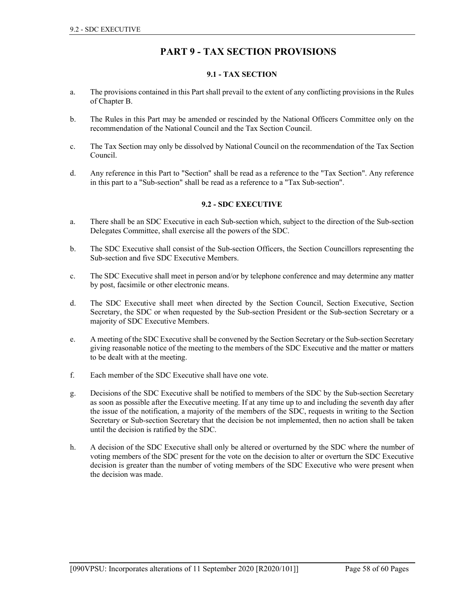# PART 9 - TAX SECTION PROVISIONS

# 9.1 - TAX SECTION

- a. The provisions contained in this Part shall prevail to the extent of any conflicting provisions in the Rules of Chapter B.
- b. The Rules in this Part may be amended or rescinded by the National Officers Committee only on the recommendation of the National Council and the Tax Section Council.
- c. The Tax Section may only be dissolved by National Council on the recommendation of the Tax Section Council.
- d. Any reference in this Part to "Section" shall be read as a reference to the "Tax Section". Any reference in this part to a "Sub-section" shall be read as a reference to a "Tax Sub-section".

# 9.2 - SDC EXECUTIVE

- a. There shall be an SDC Executive in each Sub-section which, subject to the direction of the Sub-section Delegates Committee, shall exercise all the powers of the SDC.
- b. The SDC Executive shall consist of the Sub-section Officers, the Section Councillors representing the Sub-section and five SDC Executive Members.
- c. The SDC Executive shall meet in person and/or by telephone conference and may determine any matter by post, facsimile or other electronic means.
- d. The SDC Executive shall meet when directed by the Section Council, Section Executive, Section Secretary, the SDC or when requested by the Sub-section President or the Sub-section Secretary or a majority of SDC Executive Members.
- e. A meeting of the SDC Executive shall be convened by the Section Secretary or the Sub-section Secretary giving reasonable notice of the meeting to the members of the SDC Executive and the matter or matters to be dealt with at the meeting.
- f. Each member of the SDC Executive shall have one vote.
- g. Decisions of the SDC Executive shall be notified to members of the SDC by the Sub-section Secretary as soon as possible after the Executive meeting. If at any time up to and including the seventh day after the issue of the notification, a majority of the members of the SDC, requests in writing to the Section Secretary or Sub-section Secretary that the decision be not implemented, then no action shall be taken until the decision is ratified by the SDC.
- h. A decision of the SDC Executive shall only be altered or overturned by the SDC where the number of voting members of the SDC present for the vote on the decision to alter or overturn the SDC Executive decision is greater than the number of voting members of the SDC Executive who were present when the decision was made.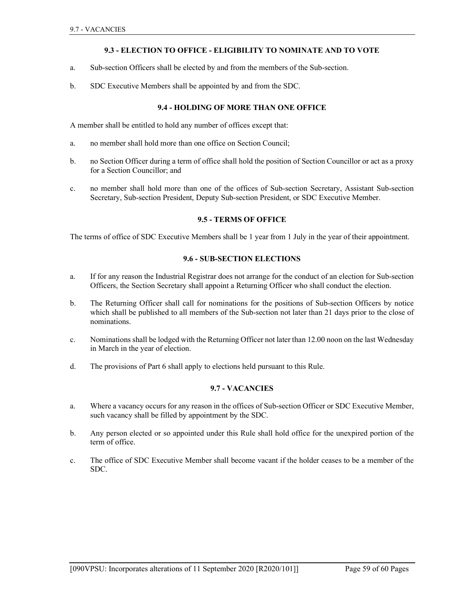# 9.3 - ELECTION TO OFFICE - ELIGIBILITY TO NOMINATE AND TO VOTE

- a. Sub-section Officers shall be elected by and from the members of the Sub-section.
- b. SDC Executive Members shall be appointed by and from the SDC.

# 9.4 - HOLDING OF MORE THAN ONE OFFICE

A member shall be entitled to hold any number of offices except that:

- a. no member shall hold more than one office on Section Council;
- b. no Section Officer during a term of office shall hold the position of Section Councillor or act as a proxy for a Section Councillor; and
- c. no member shall hold more than one of the offices of Sub-section Secretary, Assistant Sub-section Secretary, Sub-section President, Deputy Sub-section President, or SDC Executive Member.

### 9.5 - TERMS OF OFFICE

The terms of office of SDC Executive Members shall be 1 year from 1 July in the year of their appointment.

## 9.6 - SUB-SECTION ELECTIONS

- a. If for any reason the Industrial Registrar does not arrange for the conduct of an election for Sub-section Officers, the Section Secretary shall appoint a Returning Officer who shall conduct the election.
- b. The Returning Officer shall call for nominations for the positions of Sub-section Officers by notice which shall be published to all members of the Sub-section not later than 21 days prior to the close of nominations.
- c. Nominations shall be lodged with the Returning Officer not later than 12.00 noon on the last Wednesday in March in the year of election.
- d. The provisions of Part 6 shall apply to elections held pursuant to this Rule.

#### 9.7 - VACANCIES

- a. Where a vacancy occurs for any reason in the offices of Sub-section Officer or SDC Executive Member, such vacancy shall be filled by appointment by the SDC.
- b. Any person elected or so appointed under this Rule shall hold office for the unexpired portion of the term of office.
- c. The office of SDC Executive Member shall become vacant if the holder ceases to be a member of the SDC.